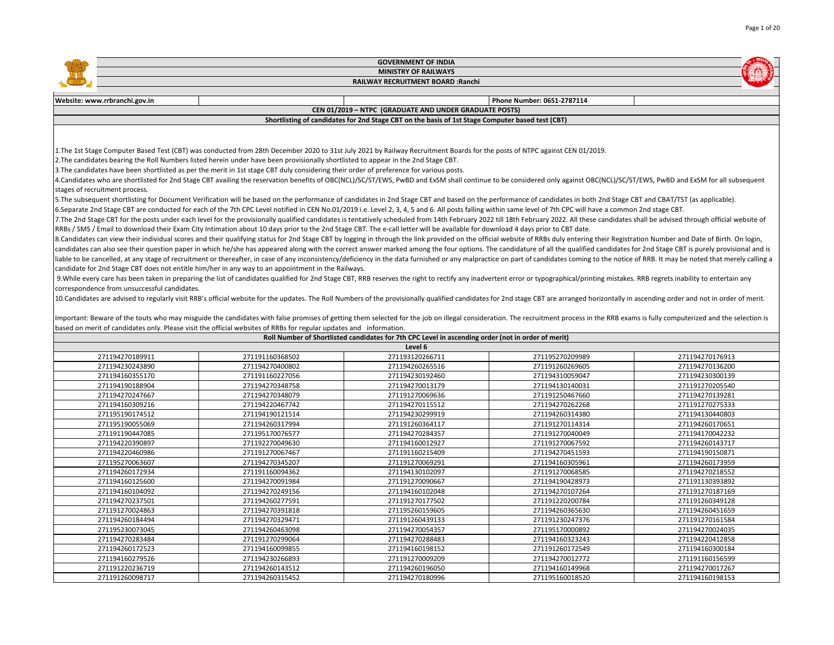|                                              |                                                                                                                                                                                                                                | <b>GOVERNMENT OF INDIA</b>                                                                         |                                    |                 |
|----------------------------------------------|--------------------------------------------------------------------------------------------------------------------------------------------------------------------------------------------------------------------------------|----------------------------------------------------------------------------------------------------|------------------------------------|-----------------|
|                                              |                                                                                                                                                                                                                                | <b>MINISTRY OF RAILWAYS</b>                                                                        |                                    |                 |
|                                              |                                                                                                                                                                                                                                | RAILWAY RECRUITMENT BOARD : Ranchi                                                                 |                                    |                 |
|                                              |                                                                                                                                                                                                                                |                                                                                                    |                                    |                 |
| Website: www.rrbranchi.gov.in                |                                                                                                                                                                                                                                |                                                                                                    | Phone Number: 0651-2787114         |                 |
|                                              |                                                                                                                                                                                                                                | CEN 01/2019 - NTPC (GRADUATE AND UNDER GRADUATE POSTS)                                             |                                    |                 |
|                                              |                                                                                                                                                                                                                                | Shortlisting of candidates for 2nd Stage CBT on the basis of 1st Stage Computer based test (CBT)   |                                    |                 |
|                                              |                                                                                                                                                                                                                                |                                                                                                    |                                    |                 |
|                                              |                                                                                                                                                                                                                                |                                                                                                    |                                    |                 |
|                                              | 1. The 1st Stage Computer Based Test (CBT) was conducted from 28th December 2020 to 31st July 2021 by Railway Recruitment Boards for the posts of NTPC against CEN 01/2019.                                                    |                                                                                                    |                                    |                 |
|                                              | 2. The candidates bearing the Roll Numbers listed herein under have been provisionally shortlisted to appear in the 2nd Stage CBT.                                                                                             |                                                                                                    |                                    |                 |
|                                              | 3. The candidates have been shortlisted as per the merit in 1st stage CBT duly considering their order of preference for various posts.                                                                                        |                                                                                                    |                                    |                 |
|                                              | 4.Candidates who are shortlisted for 2nd Stage CBT availing the reservation benefits of OBC(NCL)/SC/ST/EWS, PwBD and ExSM shall continue to be considered only against OBC(NCL)/SC/ST/EWS, PwBD and ExSM for all subsequent    |                                                                                                    |                                    |                 |
| stages of recruitment process.               |                                                                                                                                                                                                                                |                                                                                                    |                                    |                 |
|                                              | 5. The subsequent shortlisting for Document Verification will be based on the performance of candidates in 2nd Stage CBT and based on the performance of candidates in both 2nd Stage CBT and CBAT/TST (as applicable).        |                                                                                                    |                                    |                 |
|                                              | 6.Separate 2nd Stage CBT are conducted for each of the 7th CPC Level notified in CEN No.01/2019 i.e. Level 2, 3, 4, 5 and 6. All posts falling within same level of 7th CPC will have a common 2nd stage CBT.                  |                                                                                                    |                                    |                 |
|                                              | 7. The 2nd Stage CBT for the posts under each level for the provisionally qualified candidates is tentatively scheduled from 14th February 2022 till 18th February 2022. All these candidates shall be advised through officia |                                                                                                    |                                    |                 |
|                                              | RRBs / SMS / Email to download their Exam City Intimation about 10 days prior to the 2nd Stage CBT. The e-call letter will be available for download 4 days prior to CBT date.                                                 |                                                                                                    |                                    |                 |
|                                              | 8. Candidates can view their individual scores and their qualifying status for 2nd Stage CBT by logging in through the link provided on the official website of RRBs duly entering their Registration Number and Date of Birth |                                                                                                    |                                    |                 |
|                                              | candidates can also see their question paper in which he/she has appeared along with the correct answer marked among the four options. The candidature of all the qualified candidates for 2nd Stage CBT is purely provisional |                                                                                                    |                                    |                 |
|                                              | liable to be cancelled, at any stage of recruitment or thereafter, in case of any inconsistency/deficiency in the data furnished or any malpractice on part of candidates coming to the notice of RRB. It may be noted that me |                                                                                                    |                                    |                 |
|                                              | candidate for 2nd Stage CBT does not entitle him/her in any way to an appointment in the Railways.                                                                                                                             |                                                                                                    |                                    |                 |
|                                              | 9. While every care has been taken in preparing the list of candidates qualified for 2nd Stage CBT, RRB reserves the right to rectify any inadvertent error or typographical/printing mistakes. RRB regrets inability to enter |                                                                                                    |                                    |                 |
| correspondence from unsuccessful candidates. |                                                                                                                                                                                                                                |                                                                                                    |                                    |                 |
|                                              | 10. Candidates are advised to regularly visit RRB's official website for the updates. The Roll Numbers of the provisionally qualified candidates for 2nd stage CBT are arranged horizontally in ascending order and not in ord |                                                                                                    |                                    |                 |
|                                              |                                                                                                                                                                                                                                |                                                                                                    |                                    |                 |
|                                              | Important: Beware of the touts who may misguide the candidates with false promises of getting them selected for the job on illegal consideration. The recruitment process in the RRB exams is fully computerized and the selec |                                                                                                    |                                    |                 |
|                                              | based on merit of candidates only. Please visit the official websites of RRBs for regular updates and information.                                                                                                             |                                                                                                    |                                    |                 |
|                                              |                                                                                                                                                                                                                                | Roll Number of Shortlisted candidates for 7th CPC Level in ascending order (not in order of merit) |                                    |                 |
| 271194270189911                              | 271191160368502                                                                                                                                                                                                                | Level 6<br>271193120266711                                                                         |                                    | 271194270176913 |
| 271194230243890                              | 271194270400802                                                                                                                                                                                                                | 271194260265516                                                                                    | 271195270209989<br>271191260269605 | 271194270136200 |
| 271194160355170                              | 271191160227056                                                                                                                                                                                                                | 271194230192460                                                                                    | 271194310059047                    | 271194230300139 |
| 271194190188904                              | 271194270348758                                                                                                                                                                                                                | 271194270013179                                                                                    | 271194130140031                    | 271191270205540 |
| 271194270247667                              | 271194270348079                                                                                                                                                                                                                | 271191270069636                                                                                    | 271191250467660                    | 271194270139281 |
| 271194160309216                              | 271194220467742                                                                                                                                                                                                                | 271194270115512                                                                                    | 271194270262268                    | 271191270275333 |
| 271195190174512                              | 271194190121514                                                                                                                                                                                                                | 271194230299919                                                                                    | 271194260314380                    | 271194130440803 |
| 271195190055069                              | 271194260317994                                                                                                                                                                                                                | 271191260364117                                                                                    | 271191270114314                    | 271194260170651 |
| 271191190447085                              | 271195170076577                                                                                                                                                                                                                | 271194270284357                                                                                    | 271191270040049                    | 271194170042232 |
| 271194220390897                              | 271192270049630                                                                                                                                                                                                                | 271194160012927                                                                                    | 271191270067592                    | 271194260143717 |
| 271194220460986                              | 271191270067467                                                                                                                                                                                                                | 271191160215409                                                                                    | 271194270451593                    | 271194190150871 |
| 271195270063607                              | 271194270345207                                                                                                                                                                                                                | 271191270069291                                                                                    | 271194160305961                    | 271194260173959 |
| 271194260172934                              | 271191160094362                                                                                                                                                                                                                | 271194130102097                                                                                    | 271191270068585                    | 271194270218552 |
| 271194160125600                              | 271194270091984                                                                                                                                                                                                                | 271191270090667                                                                                    | 271194190428973                    | 271191130393892 |
| 271194160104092                              | 271194270249156                                                                                                                                                                                                                | 271194160102048                                                                                    | 271194270107264                    | 271191270187169 |
| 271194270237501                              | 271194260277591                                                                                                                                                                                                                | 271191270177502                                                                                    | 271191220200784                    | 271191260349128 |
| 271191270024863                              | 271194270391818                                                                                                                                                                                                                | 271195260159605                                                                                    | 271194260365630                    | 271194260451659 |
| 271194260184494                              | 271194270329471                                                                                                                                                                                                                | 271191260439133                                                                                    | 271191230247376                    | 271191270161584 |
| 271195230073045                              | 271194260463098                                                                                                                                                                                                                | 271194270054357                                                                                    | 271195170000892                    | 271194270024035 |
| 271194270283484                              | 271191270299064                                                                                                                                                                                                                | 271194270288483                                                                                    | 271194160323243                    | 271194220412858 |
| 271194260172523                              | 271194160099855                                                                                                                                                                                                                | 271194160198152                                                                                    | 271191260172549                    | 271194160300184 |
| 271194160279526                              | 271194230266893                                                                                                                                                                                                                | 271191270009209                                                                                    | 271194270012772                    | 271191160156599 |
| 271191220236719                              | 271194260143512                                                                                                                                                                                                                | 271194260196050                                                                                    | 271194160149968                    | 271194270017267 |
| 271191260098717                              | 271194260315452                                                                                                                                                                                                                | 271194270180996                                                                                    | 271195160018520                    | 271194160198153 |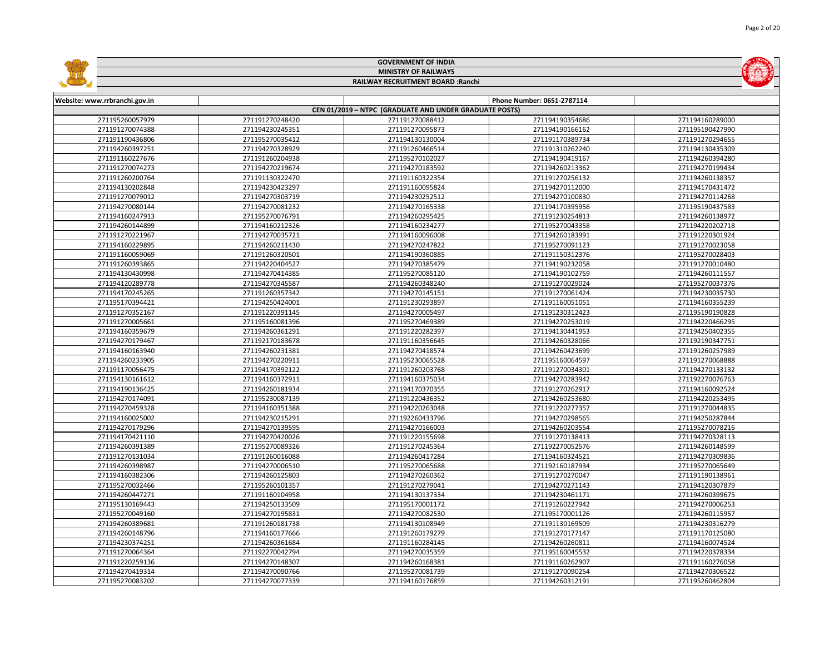|                               |                 | <b>GOVERNMENT OF INDIA</b>                             |                            |                 |  |
|-------------------------------|-----------------|--------------------------------------------------------|----------------------------|-----------------|--|
| <b>MINISTRY OF RAILWAYS</b>   |                 |                                                        |                            |                 |  |
|                               |                 | RAILWAY RECRUITMENT BOARD : Ranchi                     |                            |                 |  |
|                               |                 |                                                        |                            |                 |  |
| Website: www.rrbranchi.gov.in |                 |                                                        | Phone Number: 0651-2787114 |                 |  |
|                               |                 | CEN 01/2019 - NTPC (GRADUATE AND UNDER GRADUATE POSTS) |                            |                 |  |
| 271195260057979               | 271191270248420 | 271191270088412                                        | 271194190354686            | 271194160289000 |  |
| 271191270074388               | 271194230245351 | 271191270095873                                        | 271194190166162            | 271195190427990 |  |
| 271191190436806               | 271195270035412 | 271194130130004                                        | 271191170389734            | 271191270294655 |  |
| 271194260397251               | 271194270328929 | 271191260466514                                        | 271191310262240            | 271194130435309 |  |
| 271191160227676               | 271191260204938 | 271195270102027                                        | 271194190419167            | 271194260394280 |  |
| 271191270074273               | 271194270219674 | 271194270183592                                        | 271194260213362            | 271194270199434 |  |
| 271191260200764               | 271191130322470 | 271191160322354                                        | 271191270256132            | 271194260138357 |  |
| 271194130202848               | 271194230423297 | 271191160095824                                        | 271194270112000            | 271194170431472 |  |
| 271191270079012               | 271194270303719 | 271194230252512                                        | 271194270100830            | 271194270114268 |  |
| 271194270080144               | 271194270081232 | 271194270165338                                        | 271194170395956            | 271195190437583 |  |
| 271194160247913               | 271195270076791 | 271194260295425                                        | 271191230254813            | 271194260138972 |  |
| 271194260144899               | 271194160212326 | 271194160234277                                        | 271195270043358            | 271194220202718 |  |
| 271191270221967               | 271194270035721 | 271194160096008                                        | 271194260183991            | 271191220301924 |  |
| 271194160229895               | 271194260211430 | 271194270247822                                        | 271195270091123            | 271191270023058 |  |
| 271191160059069               | 271191260320501 | 271194190360885                                        | 271191150312376            | 271195270028403 |  |
| 271191260393865               | 271194220404527 | 271194270385479                                        | 271194190232058            | 271191270010480 |  |
| 271194130430998               | 271194270414385 | 271195270085120                                        | 271194190102759            | 271194260111557 |  |
| 271194120289778               | 271194270345587 | 271194260348240                                        | 271191270029024            | 271195270037376 |  |
| 271194170245265               | 271191260357342 | 271194270145151                                        | 271191270061424            | 271194230035730 |  |
| 271195170394421               | 271194250424001 | 271191230293897                                        | 271191160051051            | 271194160355239 |  |
| 271191270352167               | 271191220391145 | 271194270005497                                        | 271191230312423            | 271195190190828 |  |
| 271191270005661               | 271195160081396 | 271195270469389                                        | 271194270253019            | 271194220466295 |  |
| 271194160359679               | 271194260361291 | 271191220282397                                        | 271194130441953            | 271194250402355 |  |
| 271194270179467               | 271192170183678 | 271191160356645                                        | 271194260328066            | 271192190347751 |  |
| 271194160163940               | 271194260231381 | 271194270418574                                        | 271194260423699            | 271191260257989 |  |
| 271194260233905               | 271194270220911 | 271195230065528                                        | 271195160064597            | 271191270068888 |  |
| 271191170056475               | 271194170392122 | 271191260203768                                        | 271191270034301            | 271194270133132 |  |
| 271194130161612               | 271194160372911 | 271194160375034                                        | 271194270283942            | 271192270076763 |  |
| 271194190136425               | 271194260181934 | 271194170370355                                        | 271191270262917            | 271194160092524 |  |
| 271194270174091               | 271195230087139 | 271191220436352                                        | 271194260253680            | 271194220253495 |  |
| 271194270459328               | 271194160351388 | 271194220263048                                        | 271191220277357            | 271191270044835 |  |
| 271194160025002               | 271194230215291 | 271192260433796                                        | 271194270298565            | 271194250287844 |  |
| 271194270179296               | 271194270139595 | 271194270166003                                        | 271194260203554            | 271195270078216 |  |
| 271194170421110               | 271194270420026 | 271191220155698                                        | 271191270138413            | 271194270328113 |  |
| 271194260391389               | 271195270089326 | 271191270245364                                        | 271192270052576            | 271194260148599 |  |
| 271191270131034               | 271191260016088 | 271194260417284                                        | 271194160324521            | 271194270309836 |  |
| 271194260398987               | 271194270006510 | 271195270065688                                        | 271192160187934            | 271195270065649 |  |
| 271194160382306               | 271194260125803 | 271194270260362                                        | 271191270270047            | 271191190138961 |  |
| 271195270032466               | 271195260101357 | 271191270279041                                        | 271194270271143            | 271194120307879 |  |
| 271194260447271               | 271191160104958 | 271194130137334                                        | 271194230461171            | 271194260399675 |  |
| 271195130169443               | 271194250133509 | 271195170001172                                        | 271191260227942            | 271194270006253 |  |
| 271195270049160               | 271194270195831 | 271194270082530                                        | 271195170001126            | 271194260115957 |  |
| 271194260389681               | 271191260181738 | 271194130108949                                        | 271191130169509            | 271194230316279 |  |
| 271194260148796               | 271194160177666 | 271191260179279                                        | 271191270177147            | 271191170125080 |  |
| 271194230374251               | 271194260361684 | 271191160284145                                        | 271194260260811            | 271194160074524 |  |
| 271191270064364               | 271192270042794 | 271194270035359                                        | 271195160045532            | 271194220378334 |  |
| 271191220259136               | 271194270148307 | 271194260168381                                        | 271191160262907            | 271191160276058 |  |
| 271194270419314               | 271194270090766 | 271195270081739                                        | 271191270090254            | 271194270306522 |  |
| 271195270083202               | 271194270077339 | 271194160176859                                        | 271194260312191            | 271195260462804 |  |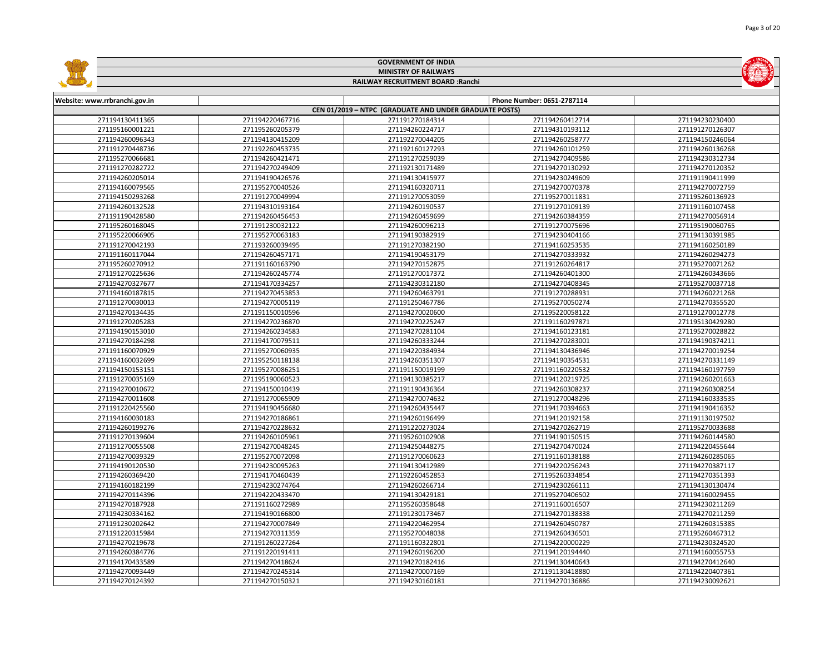|                               |                             | <b>GOVERNMENT OF INDIA</b>                             |                            |                 |  |  |
|-------------------------------|-----------------------------|--------------------------------------------------------|----------------------------|-----------------|--|--|
|                               | <b>MINISTRY OF RAILWAYS</b> |                                                        |                            |                 |  |  |
|                               |                             | RAILWAY RECRUITMENT BOARD : Ranchi                     |                            |                 |  |  |
|                               |                             |                                                        |                            |                 |  |  |
| Website: www.rrbranchi.gov.in |                             |                                                        | Phone Number: 0651-2787114 |                 |  |  |
|                               |                             | CEN 01/2019 - NTPC (GRADUATE AND UNDER GRADUATE POSTS) |                            |                 |  |  |
| 271194130411365               | 271194220467716             | 271191270184314                                        | 271194260412714            | 271194230230400 |  |  |
| 271195160001221               | 271195260205379             | 271194260224717                                        | 271194310193112            | 271191270126307 |  |  |
| 271194260096343               | 271194130415209             | 271192270044205                                        | 271194260258777            | 271194150246064 |  |  |
| 271191270448736               | 271192260453735             | 271192160127293                                        | 271194260101259            | 271194260136268 |  |  |
| 271195270066681               | 271194260421471             | 271191270259039                                        | 271194270409586            | 271194230312734 |  |  |
| 271191270282722               | 271194270249409             | 271192130171489                                        | 271194270130292            | 271194270120352 |  |  |
| 271194260205014               | 271194190426576             | 271194130415977                                        | 271194230249609            | 271191190411999 |  |  |
| 271194160079565               | 271195270040526             | 271194160320711                                        | 271194270070378            | 271194270072759 |  |  |
| 271194150293268               | 271191270049994             | 271191270053059                                        | 271195270011831            | 271195260136923 |  |  |
| 271194260132528               | 271194310193164             | 271194260190537                                        | 271191270109139            | 271191160107458 |  |  |
| 271191190428580               | 271194260456453             | 271194260459699                                        | 271194260384359            | 271194270056914 |  |  |
| 271195260168045               | 271191230032122             | 271194260096213                                        | 271191270075696            | 271195190060765 |  |  |
| 271195220066905               | 271195270063183             | 271194190382919                                        | 271194230404166            | 271194130391985 |  |  |
| 271191270042193               | 271193260039495             | 271191270382190                                        | 271194160253535            | 271194160250189 |  |  |
| 271191160117044               | 271194260457171             | 271194190453179                                        | 271194270333932            | 271194260294273 |  |  |
| 271195260270912               | 271191160163790             | 271194270152875                                        | 271191260264817            | 271195270071262 |  |  |
| 271191270225636               | 271194260245774             | 271191270017372                                        | 271194260401300            | 271194260343666 |  |  |
| 271194270327677               | 271194170334257             | 271194230312180                                        | 271194270408345            | 271195270037718 |  |  |
| 271194160187815               | 271194270453853             | 271194260463791                                        | 271191270288931            | 271194260221268 |  |  |
| 271191270030013               | 271194270005119             | 271191250467786                                        | 271195270050274            | 271194270355520 |  |  |
| 271194270134435               | 271191150010596             | 271194270020600                                        | 271195220058122            | 271191270012778 |  |  |
| 271191270205283               | 271194270236870             | 271194270225247                                        | 271191160297871            | 271195130429280 |  |  |
| 271194190153010               | 271194260234583             | 271194270281104                                        | 271194160123181            | 271195270028822 |  |  |
| 271194270184298               | 271194170079511             | 271194260333244                                        | 271194270283001            | 271194190374211 |  |  |
| 271191160070929               | 271195270060935             | 271194220384934                                        | 271194130436946            | 271194270019254 |  |  |
| 271194160032699               | 271195250118138             | 271194260351307                                        | 271194190354531            | 271194270331149 |  |  |
| 271194150153151               | 271195270086251             | 271191150019199                                        | 271191160220532            | 271194160197759 |  |  |
| 271191270035169               | 271195190060523             | 271194130385217                                        | 271194120219725            | 271194260201663 |  |  |
| 271194270010672               | 271194150010439             | 271191190436364                                        | 271194260308237            | 271194260308254 |  |  |
| 271194270011608               | 271191270065909             | 271194270074632                                        | 271191270048296            | 271194160333535 |  |  |
| 271191220425560               | 271194190456680             | 271194260435447                                        | 271194170394663            | 271194190416352 |  |  |
| 271194160030183               | 271194270186861             | 271194260196499                                        | 271194120192158            | 271191130197502 |  |  |
| 271194260199276               | 271194270228632             | 271191220273024                                        | 271194270262719            | 271195270033688 |  |  |
| 271191270139604               | 271194260105961             | 271195260102908                                        | 271194190150515            | 271194260144580 |  |  |
| 271191270055508               | 271194270048245             | 271194250448275                                        | 271194270470024            | 271194220455644 |  |  |
| 271194270039329               | 271195270072098             | 271191270060623                                        | 271191160138188            | 271194260285065 |  |  |
| 271194190120530               | 271194230095263             | 271194130412989                                        | 271194220256243            | 271194270387117 |  |  |
| 271194260369420               | 271194170460439             | 271192260452853                                        | 271195260334854            | 271194270351393 |  |  |
| 271194160182199               | 271194230274764             | 271194260266714                                        | 271194230266111            | 271194130130474 |  |  |
| 271194270114396               | 271194220433470             | 271194130429181                                        | 271195270406502            | 271194160029455 |  |  |
| 271194270187928               | 271191160272989             | 271195260358648                                        | 271191160016507            | 271194230211269 |  |  |
| 271194230334162               | 271194190166800             | 271191230173467                                        | 271194270138338            | 271194270211259 |  |  |
| 271191230202642               | 271194270007849             | 271194220462954                                        | 271194260450787            | 271194260315385 |  |  |
| 271191220315984               | 271194270311359             | 271195270048038                                        | 271194260436501            | 271195260467312 |  |  |
| 271194270219678               | 271191260227264             | 271191160322801                                        | 271194220000229            | 271194230324520 |  |  |
| 271194260384776               | 271191220191411             | 271194260196200                                        | 271194120194440            | 271194160055753 |  |  |
| 271194170433589               | 271194270418624             | 271194270182416                                        | 271194130440643            | 271194270412640 |  |  |
| 271194270093449               | 271194270245314             | 271194270007169                                        | 271191130418880            | 271194220407361 |  |  |
| 271194270124392               | 271194270150321             | 271194230160181                                        | 271194270136886            | 271194230092621 |  |  |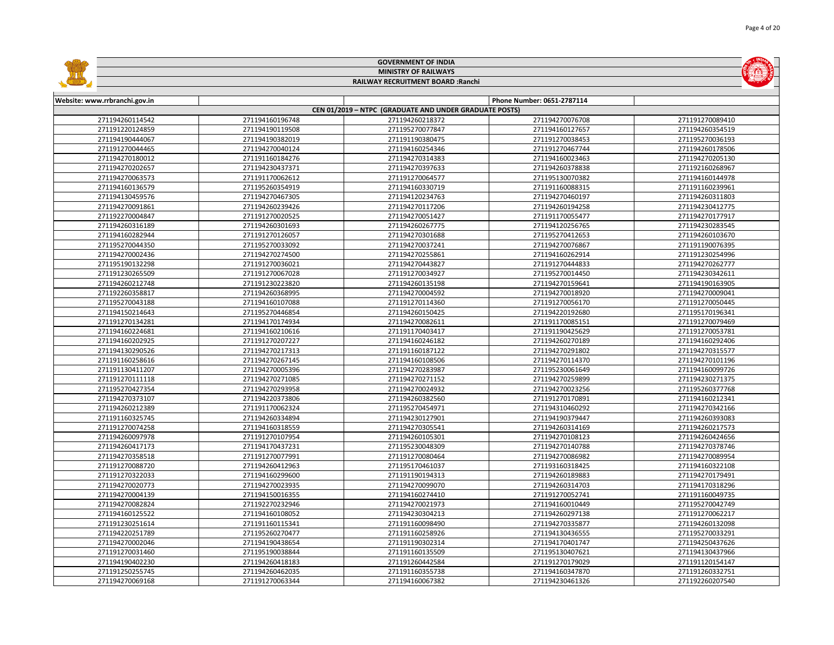|                               |                 | <b>GOVERNMENT OF INDIA</b>                             |                            |                 |
|-------------------------------|-----------------|--------------------------------------------------------|----------------------------|-----------------|
|                               |                 | <b>MINISTRY OF RAILWAYS</b>                            |                            |                 |
|                               |                 | RAILWAY RECRUITMENT BOARD : Ranchi                     |                            |                 |
|                               |                 |                                                        |                            |                 |
| Website: www.rrbranchi.gov.in |                 |                                                        | Phone Number: 0651-2787114 |                 |
|                               |                 | CEN 01/2019 - NTPC (GRADUATE AND UNDER GRADUATE POSTS) |                            |                 |
| 271194260114542               | 271194160196748 | 271194260218372                                        | 271194270076708            | 271191270089410 |
| 271191220124859               | 271194190119508 | 271195270077847                                        | 271194160127657            | 271194260354519 |
| 271194190444067               | 271194190382019 | 271191190380475                                        | 271191270038453            | 271195270036193 |
| 271191270044465               | 271194270040124 | 271194160254346                                        | 271191270467744            | 271194260178506 |
| 271194270180012               | 271191160184276 | 271194270314383                                        | 271194160023463            | 271194270205130 |
| 271194270202657               | 271194230437371 | 271194270397633                                        | 271194260378838            | 271192160268967 |
| 271194270063573               | 271191170062612 | 271191270064577                                        | 271195130070382            | 271194160144978 |
| 271194160136579               | 271195260354919 | 271194160330719                                        | 271191160088315            | 271191160239961 |
| 271194130459576               | 271194270467305 | 271194120234763                                        | 271194270460197            | 271194260311803 |
| 271194270091861               | 271194260239426 | 271194270117206                                        | 271194260194258            | 271194230412775 |
| 271192270004847               | 271191270020525 | 271194270051427                                        | 271191170055477            | 271194270177917 |
| 271194260316189               | 271194260301693 | 271194260267775                                        | 271194120256765            | 271194230283545 |
| 271194160282944               | 271191270126057 | 271194270301688                                        | 271195270412653            | 271194260103670 |
| 271195270044350               | 271195270033092 | 271194270037241                                        | 271194270076867            | 271191190076395 |
| 271194270002436               | 271194270274500 | 271194270255861                                        | 271194160262914            | 271191230254996 |
| 271195190132298               | 271191270036021 | 271194270443827                                        | 271191270444833            | 271194270262777 |
| 271191230265509               | 271191270067028 | 271191270034927                                        | 271195270014450            | 271194230342611 |
| 271194260212748               | 271191230223820 | 271194260135198                                        | 271194270159641            | 271194190163905 |
| 271192260358817               | 271194260368995 | 271194270004592                                        | 271194270018920            | 271194270009041 |
| 271195270043188               | 271194160107088 | 271191270114360                                        | 271191270056170            | 271191270050445 |
| 271194150214643               | 271195270446854 | 271194260150425                                        | 271194220192680            | 271195170196341 |
| 271191270134281               | 271194170174934 | 271194270082611                                        | 271191170085151            | 271191270079469 |
| 271194160224681               | 271194160210616 | 271191170403417                                        | 271191190425629            | 271191270053781 |
| 271194160202925               | 271191270207227 | 271194160246182                                        | 271194260270189            | 271194160292406 |
| 271194130290526               | 271194270217313 | 271191160187122                                        | 271194270291802            | 271194270315577 |
| 271191160258616               | 271194270267145 | 271194160108506                                        | 271194270114370            | 271194270101196 |
| 271191130411207               | 271194270005396 | 271194270283987                                        | 271195230061649            | 271194160099726 |
| 271191270111118               | 271194270271085 | 271194270271152                                        | 271194270259899            | 271194230271375 |
| 271195270427354               | 271194270293958 | 271194270024932                                        | 271194270023256            | 271195260377768 |
| 271194270373107               | 271194220373806 | 271194260382560                                        | 271191270170891            | 271194160212341 |
| 271194260212389               | 271191170062324 | 271195270454971                                        | 271194310460292            | 271194270342166 |
| 271191160325745               | 271194260334894 | 271194230127901                                        | 271194190379447            | 271194260393083 |
| 271191270074258               | 271194160318559 | 271194270305541                                        | 271194260314169            | 271194260217573 |
| 271194260097978               | 271191270107954 | 271194260105301                                        | 271194270108123            | 271194260424656 |
| 271194260417173               | 271194170437231 | 271195230048309                                        | 271194270140788            | 271194270378746 |
| 271194270358518               | 271191270077991 | 271191270080464                                        | 271194270086982            | 271194270089954 |
| 271191270088720               | 271194260412963 | 271195170461037                                        | 271193160318425            | 271194160322108 |
| 271191270322033               | 271194160299600 | 271191190194313                                        | 271194260189883            | 271194270179491 |
| 271194270020773               | 271194270023935 | 271194270099070                                        | 271194260314703            | 271194170318296 |
| 271194270004139               | 271194150016355 | 271194160274410                                        | 271191270052741            | 271191160049735 |
| 271194270082824               | 271192270232946 | 271194270021973                                        | 271194160010449            | 271195270042749 |
| 271194160125522               | 271194160108052 | 271194230304213                                        | 271194260297138            | 271191270062217 |
| 271191230251614               | 271191160115341 | 271191160098490                                        | 271194270335877            | 271194260132098 |
| 271194220251789               | 271195260270477 | 271191160258926                                        | 271194130436555            | 271195270033291 |
| 271194270002046               | 271194190438654 | 271191190302314                                        | 271194170401747            | 271194250437626 |
| 271191270031460               | 271195190038844 | 271191160135509                                        | 271195130407621            | 271194130437966 |
| 271194190402230               | 271194260418183 | 271191260442584                                        | 271191270179029            | 271191120154147 |
| 271191250255745               | 271194260462035 | 271191160355738                                        | 271194160347870            | 271191260332751 |
| 271194270069168               | 271191270063344 | 271194160067382                                        | 271194230461326            | 271192260207540 |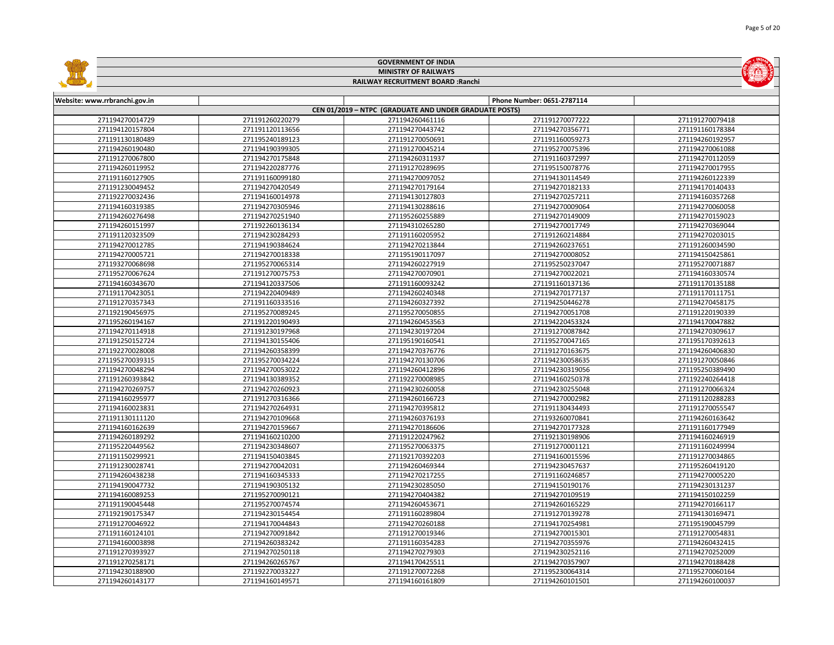|                               |                 | <b>GOVERNMENT OF INDIA</b>                             |                            |                 |
|-------------------------------|-----------------|--------------------------------------------------------|----------------------------|-----------------|
| <b>MINISTRY OF RAILWAYS</b>   |                 |                                                        |                            |                 |
|                               |                 | RAILWAY RECRUITMENT BOARD : Ranchi                     |                            |                 |
|                               |                 |                                                        |                            |                 |
| Website: www.rrbranchi.gov.in |                 |                                                        | Phone Number: 0651-2787114 |                 |
|                               |                 | CEN 01/2019 - NTPC (GRADUATE AND UNDER GRADUATE POSTS) |                            |                 |
| 271194270014729               | 271191260220279 | 271194260461116                                        | 271191270077222            | 271191270079418 |
| 271194120157804               | 271191120113656 | 271194270443742                                        | 271194270356771            | 271191160178384 |
| 271191130180489               | 271195240189123 | 271191270050691                                        | 271191160059273            | 271194260192957 |
| 271194260190480               | 271194190399305 | 271191270045214                                        | 271195270075396            | 271194270061088 |
| 271191270067800               | 271194270175848 | 271194260311937                                        | 271191160372997            | 271194270112059 |
| 271194260119952               | 271194220287776 | 271191270289695                                        | 271195150078776            | 271194270017955 |
| 271191160127905               | 271191160099180 | 271194270097052                                        | 271194130114549            | 271194260122339 |
| 271191230049452               | 271194270420549 | 271194270179164                                        | 271194270182133            | 271194170140433 |
| 271192270032436               | 271194160014978 | 271194130127803                                        | 271194270257211            | 271194160357268 |
| 271194160319385               | 271194270305946 | 271194130288616                                        | 271194270009064            | 271194270060058 |
| 271194260276498               | 271194270251940 | 271195260255889                                        | 271194270149009            | 271194270159023 |
| 271194260151997               | 271192260136134 | 271194310265280                                        | 271194270017749            | 271194270369044 |
| 271191120323509               | 271194230284293 | 271191160205952                                        | 271191260214884            | 271194270203015 |
| 271194270012785               | 271194190384624 | 271194270213844                                        | 271194260237651            | 271191260034590 |
| 271194270005721               | 271194270018338 | 271195190117097                                        | 271194270008052            | 271194150425861 |
| 271193270068698               | 271195270065314 | 271194260227919                                        | 271195250237047            | 271195270071887 |
| 271195270067624               | 271191270075753 | 271194270070901                                        | 271194270022021            | 271194160330574 |
| 271194160343670               | 271194120337506 | 271191160093242                                        | 271191160137136            | 271191170135188 |
| 271191170423051               | 271194220409489 | 271194260240348                                        | 271194270177137            | 271191170111751 |
| 271191270357343               | 271191160333516 | 271194260327392                                        | 271194250446278            | 271194270458175 |
| 271192190456975               | 271195270089245 | 271195270050855                                        | 271194270051708            | 271191220190339 |
| 271195260194167               | 271191220190493 | 271194260453563                                        | 271194220453324            | 271194170047882 |
| 271194270114918               | 271191230197968 | 271194230197204                                        | 271191270087842            | 271194270309617 |
| 271191250152724               | 271194130155406 | 271195190160541                                        | 271195270047165            | 271195170392613 |
| 271192270028008               | 271194260358399 | 271194270376776                                        | 271191270163675            | 271194260406830 |
| 271195270039315               | 271195270034224 | 271194270130706                                        | 271194230058635            | 271191270050846 |
| 271194270048294               | 271194270053022 | 271194260412896                                        | 271194230319056            | 271195250389490 |
| 271191260393842               | 271194130389352 | 271192270008985                                        | 271194160250378            | 271192240264418 |
| 271194270269757               | 271194270260923 | 271194230260058                                        | 271194230255048            | 271191270066324 |
| 271194160295977               | 271191270316366 | 271194260166723                                        | 271194270002982            | 271191120288283 |
| 271194160023831               | 271194270264931 | 271194270395812                                        | 271191130434493            | 271191270055547 |
| 271191130111120               | 271194270109668 | 271194260376193                                        | 271193260070841            | 271194260163642 |
| 271194160162639               | 271194270159667 | 271194270186606                                        | 271194270177328            | 271191160177949 |
| 271194260189292               | 271194160210200 | 271191220247962                                        | 271192130198906            | 271194160246919 |
| 271195220449562               | 271194230348607 | 271195270063375                                        | 271191270001121            | 271191160249994 |
| 271191150299921               | 271194150403845 | 271192170392203                                        | 271194160015596            | 271191270034865 |
| 271191230028741               | 271194270042031 | 271194260469344                                        | 271194230457637            | 271195260419120 |
| 271194260438238               | 271194160345333 | 271194270217255                                        | 271191160246857            | 271194270005220 |
| 271194190047732               | 271194190305132 | 271194230285050                                        | 271194150190176            | 271194230131237 |
| 271194160089253               | 271195270090121 | 271194270404382                                        | 271194270109519            | 271194150102259 |
| 271191190045448               | 271195270074574 | 271194260453671                                        | 271194260165229            | 271194270166117 |
| 271192190175347               | 271194230154454 | 271191160289804                                        | 271191270139278            | 271194130169471 |
| 271191270046922               | 271194170044843 | 271194270260188                                        | 271194170254981            | 271195190045799 |
| 271191160124101               | 271194270091842 | 271191270019346                                        | 271194270015301            | 271191270054831 |
| 271194160003898               | 271194260383242 | 271191160354283                                        | 271194270355976            | 271194260432415 |
| 271191270393927               | 271194270250118 | 271194270279303                                        | 271194230252116            | 271194270252009 |
| 271191270258171               | 271194260265767 | 271194170425511                                        | 271194270357907            | 271194270188428 |
| 271194230188900               | 271192270033227 | 271191270072268                                        | 271195230064314            | 271195270060164 |
| 271194260143177               | 271194160149571 | 271194160161809                                        | 271194260101501            | 271194260100037 |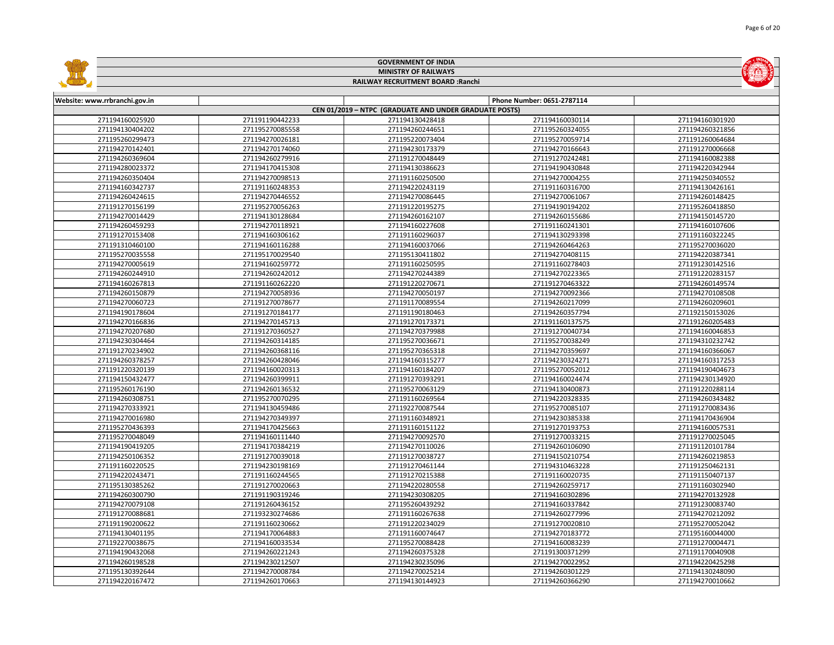|                                          |                                    | <b>GOVERNMENT OF INDIA</b>                             |                                    |                                    |  |  |
|------------------------------------------|------------------------------------|--------------------------------------------------------|------------------------------------|------------------------------------|--|--|
| <b>MINISTRY OF RAILWAYS</b>              |                                    |                                                        |                                    |                                    |  |  |
| <b>RAILWAY RECRUITMENT BOARD: Ranchi</b> |                                    |                                                        |                                    |                                    |  |  |
|                                          |                                    |                                                        |                                    |                                    |  |  |
| Website: www.rrbranchi.gov.in            |                                    |                                                        | Phone Number: 0651-2787114         |                                    |  |  |
|                                          |                                    | CEN 01/2019 - NTPC (GRADUATE AND UNDER GRADUATE POSTS) |                                    |                                    |  |  |
| 271194160025920                          | 271191190442233                    | 271194130428418                                        | 271194160030114                    | 271194160301920                    |  |  |
| 271194130404202<br>271195260299473       | 271195270085558<br>271194270026181 | 271194260244651<br>271195220073404                     | 271195260324055<br>271195270059714 | 271194260321856<br>271191260064684 |  |  |
| 271194270142401                          | 271194270174060                    | 271194230173379                                        | 271194270166643                    | 271191270006668                    |  |  |
| 271194260369604                          | 271194260279916                    | 271191270048449                                        | 271191270242481                    | 271194160082388                    |  |  |
| 271194280023372                          | 271194170415308                    | 271194130386623                                        | 271194190430848                    | 271194220342944                    |  |  |
| 271194260350404                          | 271194270098513                    | 271191160250500                                        | 271194270004255                    | 271194250340552                    |  |  |
| 271194160342737                          | 271191160248353                    | 271194220243119                                        | 271191160316700                    | 271194130426161                    |  |  |
| 271194260424615                          | 271194270446552                    | 271194270086445                                        | 271194270061067                    | 271194260148425                    |  |  |
| 271191270156199                          | 271195270056263                    | 271191220195275                                        | 271194190194202                    | 271195260418850                    |  |  |
| 271194270014429                          | 271194130128684                    | 271194260162107                                        | 271194260155686                    | 271194150145720                    |  |  |
| 271194260459293                          | 271194270118921                    | 271194160227608                                        | 271191160241301                    | 271194160107606                    |  |  |
| 271191270153408                          | 271194160306162                    | 271191160296037                                        | 271194130293398                    | 271191160322245                    |  |  |
| 271191310460100                          | 271194160116288                    | 271194160037066                                        | 271194260464263                    | 271195270036020                    |  |  |
| 271195270035558                          | 271195170029540                    | 271195130411802                                        | 271194270408115                    | 271194220387341                    |  |  |
| 271194270005619                          | 271194160259772                    | 271191160250595                                        | 271191160278403                    | 271191230142516                    |  |  |
| 271194260244910                          | 271194260242012                    | 271194270244389                                        | 271194270223365                    | 271191220283157                    |  |  |
| 271194160267813                          | 271191160262220                    | 271191220270671                                        | 271191270463322                    | 271194260149574                    |  |  |
| 271194260150879                          | 271194270058936                    | 271194270050197                                        | 271194270092366                    | 271194270108508                    |  |  |
| 271194270060723                          | 271191270078677                    | 271191170089554                                        | 271194260217099                    | 271194260209601                    |  |  |
| 271194190178604                          | 271191270184177                    | 271191190180463                                        | 271194260357794                    | 271192150153026                    |  |  |
| 271194270166836                          | 271194270145713                    | 271191270173371                                        | 271191160137575                    | 271191260205483                    |  |  |
| 271194270207680                          | 271191270360527                    | 271194270379988                                        | 271191270040734                    | 271194160046853                    |  |  |
| 271194230304464                          | 271194260314185                    | 271195270036671                                        | 271195270038249                    | 271194310232742                    |  |  |
| 271191270234902                          | 271194260368116                    | 271195270365318                                        | 271194270359697                    | 271194160366067                    |  |  |
| 271194260378257                          | 271194260428046                    | 271194160315277                                        | 271194230324271                    | 271194160317253                    |  |  |
| 271191220320139                          | 271194160020313                    | 271194160184207                                        | 271195270052012                    | 271194190404673                    |  |  |
| 271194150432477                          | 271194260399911                    | 271191270393291                                        | 271194160024474                    | 271194230134920                    |  |  |
| 271195260176190                          | 271194260136532                    | 271195270063129                                        | 271194130400873                    | 271191220288114                    |  |  |
| 271194260308751                          | 271195270070295                    | 271191160269564                                        | 271194220328335                    | 271194260343482                    |  |  |
| 271194270333921                          | 271194130459486                    | 271192270087544                                        | 271195270085107                    | 271191270083436                    |  |  |
| 271194270016980                          | 271194270349397                    | 271191160348921                                        | 271194230385338                    | 271194170436904                    |  |  |
| 271195270436393                          | 271194170425663                    | 271191160151122                                        | 271191270193753                    | 271194160057531                    |  |  |
| 271195270048049                          | 271194160111440                    | 271194270092570                                        | 271191270033215                    | 271191270025045                    |  |  |
| 271194190419205                          | 271194170384219                    | 271194270110026                                        | 271194260106090                    | 271191120101784                    |  |  |
| 271194250106352                          | 271191270039018                    | 271191270038727                                        | 271194150210754                    | 271194260219853                    |  |  |
| 271191160220525                          | 271194230198169                    | 271191270461144                                        | 271194310463228                    | 271191250462131                    |  |  |
| 271194220243471                          | 271191160244565                    | 271191270215388                                        | 271191160020735                    | 271191150407137                    |  |  |
| 271195130385262                          | 271191270020663                    | 271194220280558                                        | 271194260259717                    | 271191160302940                    |  |  |
| 271194260300790                          | 271191190319246                    | 271194230308205                                        | 271194160302896                    | 271194270132928                    |  |  |
| 271194270079108                          | 271191260436152                    | 271195260439292                                        | 271194160337842                    | 271191230083740                    |  |  |
| 271191270088681                          | 271193230274686                    | 271191160267638                                        | 271194260277996                    | 271194270212092                    |  |  |
| 271191190200622                          | 271191160230662                    | 271191220234029                                        | 271191270020810                    | 271195270052042                    |  |  |
| 271194130401195                          | 271194170064883                    | 271191160074647                                        | 271194270183772                    | 271195160044000                    |  |  |
| 271192270038675                          | 271194160033534                    | 271195270088428                                        | 271194160083239                    | 271191270004471                    |  |  |
| 271194190432068                          | 271194260221243                    | 271194260375328                                        | 271191300371299                    | 271191170040908                    |  |  |
| 271194260198528                          | 271194230212507                    | 271194230235096                                        | 271194270022952                    | 271194220425298                    |  |  |
| 271195130392644                          | 271194270008784                    | 271194270025214                                        | 271194260301229                    | 271194130248090                    |  |  |
| 271194220167472                          | 271194260170663                    | 271194130144923                                        | 271194260366290                    | 271194270010662                    |  |  |

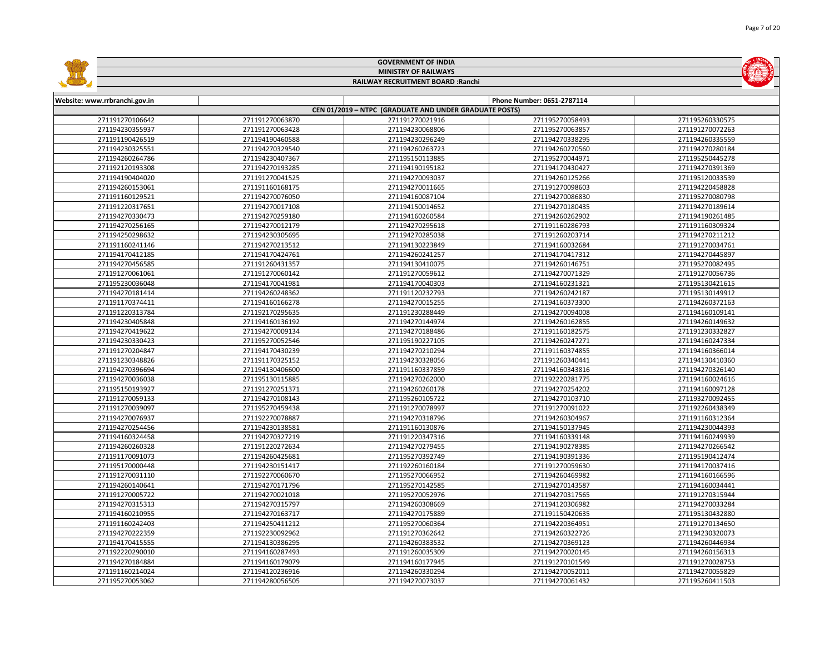|                               |                 | <b>GOVERNMENT OF INDIA</b>                             |                            |                 |
|-------------------------------|-----------------|--------------------------------------------------------|----------------------------|-----------------|
|                               |                 | <b>MINISTRY OF RAILWAYS</b>                            |                            |                 |
|                               |                 | RAILWAY RECRUITMENT BOARD : Ranchi                     |                            |                 |
|                               |                 |                                                        |                            |                 |
| Website: www.rrbranchi.gov.in |                 |                                                        | Phone Number: 0651-2787114 |                 |
|                               |                 | CEN 01/2019 - NTPC (GRADUATE AND UNDER GRADUATE POSTS) |                            |                 |
| 271191270106642               | 271191270063870 | 271191270021916                                        | 271195270058493            | 271195260330575 |
| 271194230355937               | 271191270063428 | 271194230068806                                        | 271195270063857            | 271191270072263 |
| 271191190426519               | 271194190460588 | 271194230296249                                        | 271194270338295            | 271194260335559 |
| 271194230325551               | 271194270329540 | 271194260263723                                        | 271194260270560            | 271194270280184 |
| 271194260264786               | 271194230407367 | 271195150113885                                        | 271195270044971            | 271195250445278 |
| 271192120193308               | 271194270193285 | 271194190195182                                        | 271194170430427            | 271194270391369 |
| 271194190404020               | 271191270041525 | 271194270093037                                        | 271194260125266            | 271195120033539 |
| 271194260153061               | 271191160168175 | 271194270011665                                        | 271191270098603            | 271194220458828 |
| 271191160129521               | 271194270076050 | 271194160087104                                        | 271194270086830            | 271195270080798 |
| 271191220317651               | 271194270017108 | 271194150014652                                        | 271194270180435            | 271194270189614 |
| 271194270330473               | 271194270259180 | 271194160260584                                        | 271194260262902            | 271194190261485 |
| 271194270256165               | 271194270012179 | 271194270295618                                        | 271191160286793            | 271191160309324 |
| 271194250298632               | 271194230305695 | 271194270285038                                        | 271191260203714            | 271194270211212 |
| 271191160241146               | 271194270213512 | 271194130223849                                        | 271194160032684            | 271191270034761 |
| 271194170412185               | 271194170424761 | 271194260241257                                        | 271194170417312            | 271194270445897 |
| 271194270456585               | 271191260431357 | 271194130410075                                        | 271194260146751            | 271195270082495 |
| 271191270061061               | 271191270060142 | 271191270059612                                        | 271194270071329            | 271191270056736 |
| 271195230036048               | 271194170041981 | 271194170040303                                        | 271194160231321            | 271195130421615 |
| 271194270181414               | 271194260248362 | 271191120232793                                        | 271194260242187            | 271195130149912 |
| 271191170374411               | 271194160166278 | 271194270015255                                        | 271194160373300            | 271194260372163 |
| 271191220313784               | 271192170295635 | 271191230288449                                        | 271194270094008            | 271194160109141 |
| 271194230405848               | 271194160136192 | 271194270144974                                        | 271194260162855            | 271194260149632 |
| 271194270419622               | 271194270009134 | 271194270188486                                        | 271191160182575            | 271191230332827 |
| 271194230330423               | 271195270052546 | 271195190227105                                        | 271194260247271            | 271194160247334 |
| 271191270204847               | 271194170430239 | 271194270210294                                        | 271191160374855            | 271194160366014 |
| 271191230348826               | 271191170325152 | 271194230328056                                        | 271191260340441            | 271194130410360 |
| 271194270396694               | 271194130406600 | 271191160337859                                        | 271194160343816            | 271194270326140 |
| 271194270036038               | 271195130115885 | 271194270262000                                        | 271192220281775            | 271194160024616 |
| 271195150193927               | 271191270251371 | 271194260260178                                        | 271194270254202            | 271194160097128 |
| 271191270059133               | 271194270108143 | 271195260105722                                        | 271194270103710            | 271193270092455 |
| 271191270039097               | 271195270459438 | 271191270078997                                        | 271191270091022            | 271192260438349 |
| 271194270076937               | 271192270078887 | 271194270318796                                        | 271194260304967            | 271191160312364 |
| 271194270254456               | 271194230138581 | 271191160130876                                        | 271194150137945            | 271194230044393 |
| 271194160324458               | 271194270327219 | 271191220347316                                        | 271194160339148            | 271194160249939 |
| 271194260260328               | 271191220272634 | 271194270279455                                        | 271194190278385            | 271194270266542 |
| 271191170091073               | 271194260425681 | 271195270392749                                        | 271194190391336            | 271195190412474 |
| 271195170000448               | 271194230151417 | 271192260160184                                        | 271191270059630            | 271194170037416 |
| 271191270031110               | 271192270060670 | 271195270066952                                        | 271194260469982            | 271194160166596 |
| 271194260140641               | 271194270171796 | 271195270142585                                        | 271194270143587            | 271194160034441 |
| 271191270005722               | 271194270021018 | 271195270052976                                        | 271194270317565            | 271191270315944 |
| 271194270315313               | 271194270315797 | 271194260308669                                        | 271194120306982            | 271194270033284 |
| 271194160210955               | 271194270163717 | 271194270175889                                        | 271191150420635            | 271195130432880 |
| 271191160242403               | 271194250411212 | 271195270060364                                        | 271194220364951            | 271191270134650 |
| 271194270222359               | 271192230092962 | 271191270362642                                        | 271194260322726            | 271194230320073 |
| 271194170415555               | 271194130386295 | 271194260383532                                        | 271194270369123            | 271194260446934 |
| 271192220290010               | 271194160287493 | 271191260035309                                        | 271194270020145            | 271194260156313 |
| 271194270184884               | 271194160179079 | 271194160177945                                        | 271191270101549            | 271191270028753 |
| 271191160214024               | 271194120236916 | 271194260330294                                        | 271194270052011            | 271194270055829 |
| 271195270053062               | 271194280056505 | 271194270073037                                        | 271194270061432            | 271195260411503 |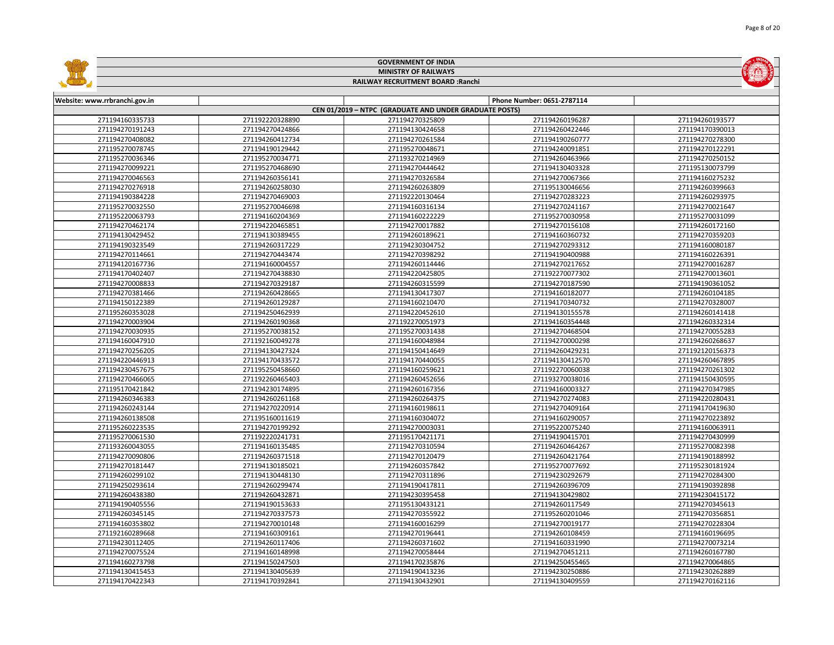|                               |                 | <b>GOVERNMENT OF INDIA</b>                             |                            |                 |
|-------------------------------|-----------------|--------------------------------------------------------|----------------------------|-----------------|
| <b>MINISTRY OF RAILWAYS</b>   |                 |                                                        |                            |                 |
|                               |                 | RAILWAY RECRUITMENT BOARD : Ranchi                     |                            |                 |
|                               |                 |                                                        |                            |                 |
| Website: www.rrbranchi.gov.in |                 |                                                        | Phone Number: 0651-2787114 |                 |
|                               |                 | CEN 01/2019 - NTPC (GRADUATE AND UNDER GRADUATE POSTS) |                            |                 |
| 271194160335733               | 271192220328890 | 271194270325809                                        | 271194260196287            | 271194260193577 |
| 271194270191243               | 271194270424866 | 271194130424658                                        | 271194260422446            | 271194170390013 |
| 271194270408082               | 271194260412734 | 271194270261584                                        | 271194190260777            | 271194270278300 |
| 271195270078745               | 271194190129442 | 271195270048671                                        | 271194240091851            | 271194270122291 |
| 271195270036346               | 271195270034771 | 271193270214969                                        | 271194260463966            | 271194270250152 |
| 271194270099221               | 271195270468690 | 271194270444642                                        | 271194130403328            | 271195130073799 |
| 271194270046563               | 271194260356141 | 271194270326584                                        | 271194270067366            | 271194160275232 |
| 271194270276918               | 271194260258030 | 271194260263809                                        | 271195130046656            | 271194260399663 |
| 271194190384228               | 271194270469003 | 271192220130464                                        | 271194270283223            | 271194260293975 |
| 271195270032550               | 271195270046698 | 271194160316134                                        | 271194270241167            | 271194270021647 |
| 271195220063793               | 271194160204369 | 271194160222229                                        | 271195270030958            | 271195270031099 |
| 271194270462174               | 271194220465851 | 271194270017882                                        | 271194270156108            | 271194260172160 |
| 271194130429452               | 271194130389455 | 271194260189621                                        | 271194160360732            | 271194270359203 |
| 271194190323549               | 271194260317229 | 271194230304752                                        | 271194270293312            | 271194160080187 |
| 271194270114661               | 271194270443474 | 271194270398292                                        | 271194190400988            | 271194160226391 |
| 271194120167736               | 271194160004557 | 271194260114446                                        | 271194270217652            | 271194270016287 |
| 271194170402407               | 271194270438830 | 271194220425805                                        | 271192270077302            | 271194270013601 |
| 271194270008833               | 271194270329187 | 271194260315599                                        | 271194270187590            | 271194190361052 |
| 271194270381466               | 271194260428665 | 271194130417307                                        | 271194160182077            | 271194260104185 |
| 271194150122389               | 271194260129287 | 271194160210470                                        | 271194170340732            | 271194270328007 |
| 271195260353028               | 271194250462939 | 271194220452610                                        | 271194130155578            | 271194260141418 |
| 271194270003904               | 271194260190368 | 271192270051973                                        | 271194160354448            | 271194260332314 |
| 271194270030935               | 271195270038152 | 271195270031438                                        | 271194270468504            | 271194270055283 |
| 271194160047910               | 271192160049278 | 271194160048984                                        | 271194270000298            | 271194260268637 |
| 271194270256205               | 271194130427324 | 271194150414649                                        | 271194260429231            | 271192120156373 |
| 271194220446913               | 271194170433572 | 271194170440055                                        | 271194130412570            | 271194260467895 |
| 271194230457675               | 271195250458660 | 271194160259621                                        | 271192270060038            | 271194270261302 |
| 271194270466065               | 271192260465403 | 271194260452656                                        | 271193270038016            | 271194150430595 |
| 271195170421842               | 271194230174895 | 271194260167356                                        | 271194160003327            | 271194270347985 |
| 271194260346383               | 271194260261168 | 271194260264375                                        | 271194270274083            | 271194220280431 |
| 271194260243144               | 271194270220914 | 271194160198611                                        | 271194270409164            | 271194170419630 |
| 271194260138508               | 271195160011619 | 271194160304072                                        | 271194160290057            | 271194270223892 |
| 271195260223535               | 271194270199292 | 271194270003031                                        | 271195220075240            | 271194160063911 |
| 271195270061530               | 271192220241731 | 271195170421171                                        | 271194190415701            | 271194270430999 |
| 271193260043055               | 271194160135485 | 271194270310594                                        | 271194260464267            | 271195270082398 |
| 271194270090806               | 271194260371518 | 271194270120479                                        | 271194260421764            | 271194190188992 |
| 271194270181447               | 271194130185021 | 271194260357842                                        | 271195270077692            | 271195230181924 |
| 271194260299102               | 271194130448130 | 271194270311896                                        | 271194230292679            | 271194270284300 |
| 271194250293614               | 271194260299474 | 271194190417811                                        | 271194260396709            | 271194190392898 |
| 271194260438380               | 271194260432871 | 271194230395458                                        | 271194130429802            | 271194230415172 |
| 271194190405556               | 271194190153633 | 271195130433121                                        | 271194260117549            | 271194270345613 |
| 271194260345145               | 271194270337573 | 271194270355922                                        | 271195260201046            | 271194270356851 |
| 271194160353802               | 271194270010148 | 271194160016299                                        | 271194270019177            | 271194270228304 |
| 271192160289668               | 271194160309161 | 271194270196441                                        | 271194260108459            | 271194160196695 |
| 271194230112405               | 271194260117406 | 271194260371602                                        | 271194160331990            | 271194270073214 |
| 271194270075524               | 271194160148998 | 271194270058444                                        | 271194270451211            | 271194260167780 |
| 271194160273798               | 271194150247503 | 271194170235876                                        | 271194250455465            | 271194270064865 |
| 271194130415453               | 271194130405639 | 271194190413236                                        | 271194230250886            | 271194230262889 |
| 271194170422343               | 271194170392841 | 271194130432901                                        | 271194130409559            | 271194270162116 |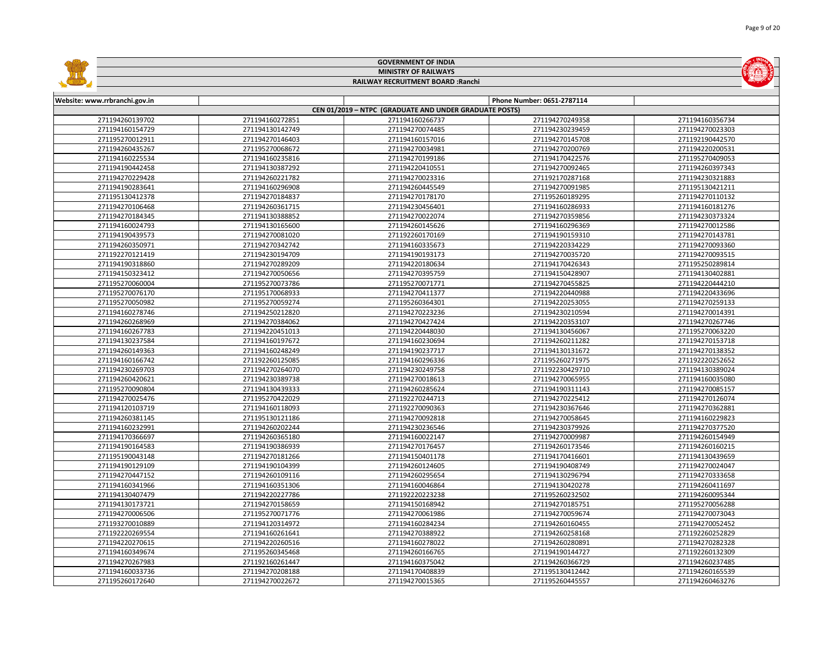|                               |                 | <b>GOVERNMENT OF INDIA</b>                             |                            |                 |
|-------------------------------|-----------------|--------------------------------------------------------|----------------------------|-----------------|
| <b>MINISTRY OF RAILWAYS</b>   |                 |                                                        |                            |                 |
|                               |                 | RAILWAY RECRUITMENT BOARD : Ranchi                     |                            |                 |
|                               |                 |                                                        |                            |                 |
| Website: www.rrbranchi.gov.in |                 |                                                        | Phone Number: 0651-2787114 |                 |
|                               |                 | CEN 01/2019 - NTPC (GRADUATE AND UNDER GRADUATE POSTS) |                            |                 |
| 271194260139702               | 271194160272851 | 271194160266737                                        | 271194270249358            | 271194160356734 |
| 271194160154729               | 271194130142749 | 271194270074485                                        | 271194230239459            | 271194270023303 |
| 271195270012911               | 271194270146403 | 271194160157016                                        | 271194270145708            | 271192190442570 |
| 271194260435267               | 271195270068672 | 271194270034981                                        | 271194270200769            | 271194220200531 |
| 271194160225534               | 271194160235816 | 271194270199186                                        | 271194170422576            | 271195270409053 |
| 271194190442458               | 271194130387292 | 271194220410551                                        | 271194270092465            | 271194260397343 |
| 271194270229428               | 271194260221782 | 271194270023316                                        | 271192170287168            | 271194230321883 |
| 271194190283641               | 271194160296908 | 271194260445549                                        | 271194270091985            | 271195130421211 |
| 271195130412378               | 271194270184837 | 271194270178170                                        | 271195260189295            | 271194270110132 |
| 271194270106468               | 271194260361715 | 271194230456401                                        | 271194160286933            | 271194160181276 |
| 271194270184345               | 271194130388852 | 271194270022074                                        | 271194270359856            | 271194230373324 |
| 271194160024793               | 271194130165600 | 271194260145626                                        | 271194160296369            | 271194270012586 |
| 271194190439573               | 271194270081020 | 271192260170169                                        | 271194190159310            | 271194270143781 |
| 271194260350971               | 271194270342742 | 271194160335673                                        | 271194220334229            | 271194270093360 |
| 271192270121419               | 271194230194709 | 271194190193173                                        | 271194270035720            | 271194270093515 |
| 271194190318860               | 271194270289209 | 271194220180634                                        | 271194170426343            | 271195250289814 |
| 271194150323412               | 271194270050656 | 271194270395759                                        | 271194150428907            | 271194130402881 |
| 271195270060004               | 271195270073786 | 271195270071771                                        | 271194270455825            | 271194220444210 |
| 271195270076170               | 271195170068933 | 271194270411377                                        | 271194220440988            | 271194220433696 |
| 271195270050982               | 271195270059274 | 271195260364301                                        | 271194220253055            | 271194270259133 |
| 271194160278746               | 271194250212820 | 271194270223236                                        | 271194230210594            | 271194270014391 |
| 271194260268969               | 271194270384062 | 271194270427424                                        | 271194220353107            | 271194270267746 |
| 271194160267783               | 271194220451013 | 271194220448030                                        | 271194130456067            | 271195270063220 |
| 271194130237584               | 271194160197672 | 271194160230694                                        | 271194260211282            | 271194270153718 |
| 271194260149363               | 271194160248249 | 271194190237717                                        | 271194130131672            | 271194270138352 |
| 271194160166742               | 271192260125085 | 271194160296336                                        | 271195260271975            | 271192220252652 |
| 271194230269703               | 271194270264070 | 271194230249758                                        | 271192230429710            | 271194130389024 |
| 271194260420621               | 271194230389738 | 271194270018613                                        | 271194270065955            | 271194160035080 |
| 271195270090804               | 271194130439333 | 271194260285624                                        | 271194190311143            | 271194270085157 |
| 271194270025476               | 271195270422029 | 271192270244713                                        | 271194270225412            | 271194270126074 |
| 271194120103719               | 271194160118093 | 271192270090363                                        | 271194230367646            | 271194270362881 |
| 271194260381145               | 271195130121186 | 271194270092818                                        | 271194270058645            | 271194160229823 |
| 271194160232991               | 271194260202244 | 271194230236546                                        | 271194230379926            | 271194270377520 |
| 271194170366697               | 271194260365180 | 271194160022147                                        | 271194270009987            | 271194260154949 |
| 271194190164583               | 271194190386939 | 271194270176457                                        | 271194260173546            | 271194260160215 |
| 271195190043148               | 271194270181266 | 271194150401178                                        | 271194170416601            | 271194130439659 |
| 271194190129109               | 271194190104399 | 271194260124605                                        | 271194190408749            | 271194270024047 |
| 271194270447152               | 271194260109116 | 271194260295654                                        | 271194130296794            | 271194270333658 |
| 271194160341966               | 271194160351306 | 271194160046864                                        | 271194130420278            | 271194260411697 |
| 271194130407479               | 271194220227786 | 271192220223238                                        | 271195260232502            | 271194260095344 |
| 271194130173721               | 271194270158659 | 271194150168942                                        | 271194270185751            | 271195270056288 |
| 271194270006506               | 271195270071776 | 271194270061986                                        | 271194270059674            | 271194270073043 |
| 271193270010889               | 271194120314972 | 271194160284234                                        | 271194260160455            | 271194270052452 |
| 271192220269554               | 271194160261641 | 271194270388922                                        | 271194260258168            | 271192260252829 |
| 271194220270615               | 271194220260516 | 271194160278022                                        | 271194260280891            | 271194270282328 |
| 271194160349674               | 271195260345468 | 271194260166765                                        | 271194190144727            | 271192260132309 |
| 271194270267983               | 271192160261447 | 271194160375042                                        | 271194260366729            | 271194260237485 |
| 271194160033736               | 271194270208188 | 271194170408839                                        | 271195130412442            | 271194260165539 |
| 271195260172640               | 271194270022672 | 271194270015365                                        | 271195260445557            | 271194260463276 |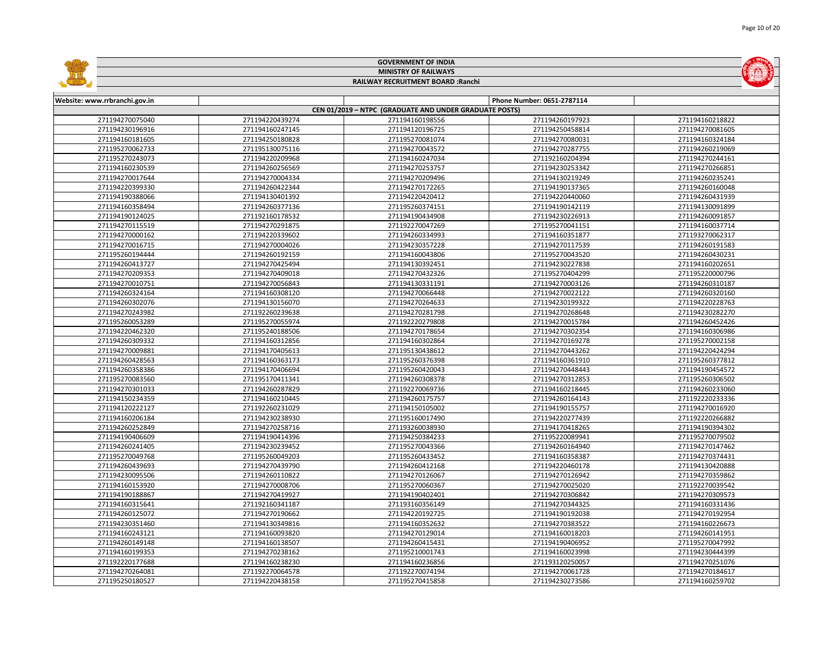|                               |                 | <b>GOVERNMENT OF INDIA</b>                             |                            |                 |  |  |
|-------------------------------|-----------------|--------------------------------------------------------|----------------------------|-----------------|--|--|
|                               |                 | <b>MINISTRY OF RAILWAYS</b>                            |                            |                 |  |  |
|                               |                 | RAILWAY RECRUITMENT BOARD : Ranchi                     |                            |                 |  |  |
|                               |                 |                                                        |                            |                 |  |  |
| Website: www.rrbranchi.gov.in |                 |                                                        | Phone Number: 0651-2787114 |                 |  |  |
|                               |                 | CEN 01/2019 - NTPC (GRADUATE AND UNDER GRADUATE POSTS) |                            |                 |  |  |
| 271194270075040               | 271194220439274 | 271194160198556                                        | 271194260197923            | 271194160218822 |  |  |
| 271194230196916               | 271194160247145 | 271194120196725                                        | 271194250458814            | 271194270081605 |  |  |
| 271194160181605               | 271194250180828 | 271195270081074                                        | 271194270080031            | 271194160324184 |  |  |
| 271195270062733               | 271195130075116 | 271194270043572                                        | 271194270287755            | 271194260219069 |  |  |
| 271195270243073               | 271194220209968 | 271194160247034                                        | 271192160204394            | 271194270244161 |  |  |
| 271194160230539               | 271194260256569 | 271194270253757                                        | 271194230253342            | 271194270266851 |  |  |
| 271194270017644               | 271194270004334 | 271194270209496                                        | 271194130219249            | 271194260235241 |  |  |
| 271194220399330               | 271194260422344 | 271194270172265                                        | 271194190137365            | 271194260160048 |  |  |
| 271194190388066               | 271194130401392 | 271194220420412                                        | 271194220440060            | 271194260431939 |  |  |
| 271194160358494               | 271194260377136 | 271195260374151                                        | 271194190142119            | 271194130091899 |  |  |
| 271194190124025               | 271192160178532 | 271194190434908                                        | 271194230226913            | 271194260091857 |  |  |
| 271194270115519               | 271194270291875 | 271192270047269                                        | 271195270041151            | 271194160037714 |  |  |
| 271194270000162               | 271194220339602 | 271194260334993                                        | 271194160351877            | 271193270062317 |  |  |
| 271194270016715               | 271194270004026 | 271194230357228                                        | 271194270117539            | 271194260191583 |  |  |
| 271195260194444               | 271194260192159 | 271194160043806                                        | 271195270043520            | 271194260430231 |  |  |
| 271194260413727               | 271194270425494 | 271194130392451                                        | 271194230227838            | 271194160202651 |  |  |
| 271194270209353               | 271194270409018 | 271194270432326                                        | 271195270404299            | 271195220000796 |  |  |
| 271194270010751               | 271194270056843 | 271194130331191                                        | 271194270003126            | 271194260310187 |  |  |
| 271194260324164               | 271194160308120 | 271194270066448                                        | 271194270022122            | 271194260320160 |  |  |
| 271194260302076               | 271194130156070 | 271194270264633                                        | 271194230199322            | 271194220228763 |  |  |
| 271194270243982               | 271192260239638 | 271194270281798                                        | 271194270268648            | 271194230282270 |  |  |
| 271195260053289               | 271195270055974 | 271192220279808                                        | 271194270015784            | 271194260452426 |  |  |
| 271194220462320               | 271195240188506 | 271194270178654                                        | 271194270302354            | 271194160306986 |  |  |
| 271194260309332               | 271194160312856 | 271194160302864                                        | 271194270169278            | 271195270002158 |  |  |
| 271194270009881               | 271194170405613 | 271195130438612                                        | 271194270443262            | 271194220424294 |  |  |
| 271194260428563               | 271194160363173 | 271195260376398                                        | 271194160361910            | 271195260377812 |  |  |
| 271194260358386               | 271194170406694 | 271195260420043                                        | 271194270448443            | 271194190454572 |  |  |
| 271195270083560               | 271195170411341 | 271194260308378                                        | 271194270312853            | 271195260306502 |  |  |
| 271194270301033               | 271194260287829 | 271192270069736                                        | 271194160218445            | 271194260233060 |  |  |
| 271194150234359               | 271194160210445 | 271194260175757                                        | 271194260164143            | 271192220233336 |  |  |
| 271194120222127               | 271192260231029 | 271194150105002                                        | 271194190155757            | 271194270016920 |  |  |
| 271194160206184               | 271194230238930 | 271195160017490                                        | 271194220277439            | 271192220266882 |  |  |
| 271194260252849               | 271194270258716 | 271193260038930                                        | 271194170418265            | 271194190394302 |  |  |
| 271194190406609               | 271194190414396 | 271194250384233                                        | 271195220089941            | 271195270079502 |  |  |
| 271194260241405               | 271194230239452 | 271195270043366                                        | 271194260164940            | 271194270147462 |  |  |
| 271195270049768               | 271195260049203 | 271195260433452                                        | 271194160358387            | 271194270374431 |  |  |
| 271194260439693               | 271194270439790 | 271194260412168                                        | 271194220460178            | 271194130420888 |  |  |
| 271194230095506               | 271194260110822 | 271194270126067                                        | 271194270126942            | 271194270359862 |  |  |
| 271194160153920               | 271194270008706 | 271195270060367                                        | 271194270025020            | 271192270039542 |  |  |
| 271194190188867               | 271194270419927 | 271194190402401                                        | 271194270306842            | 271194270309573 |  |  |
| 271194160315641               | 271192160341187 | 271193160356149                                        | 271194270344325            | 271194160331436 |  |  |
| 271194260125072               | 271194270190662 | 271194220192725                                        | 271194190192038            | 271194270192954 |  |  |
| 271194230351460               | 271194130349816 | 271194160352632                                        | 271194270383522            | 271194160226673 |  |  |
| 271194160243121               | 271194160093820 | 271194270129014                                        | 271194160018203            | 271194260141951 |  |  |
| 271194260149148               | 271194160138507 | 271194260415431                                        | 271194190406952            | 271195270047992 |  |  |
| 271194160199353               | 271194270238162 | 271195210001743                                        | 271194160023998            | 271194230444399 |  |  |
| 271192220177688               | 271194160238230 | 271194160236856                                        | 271193120250057            | 271194270251076 |  |  |
| 271194270264081               | 271192270064578 | 271192270074194                                        | 271194270061728            | 271194270184617 |  |  |
| 271195250180527               | 271194220438158 | 271195270415858                                        | 271194230273586            | 271194160259702 |  |  |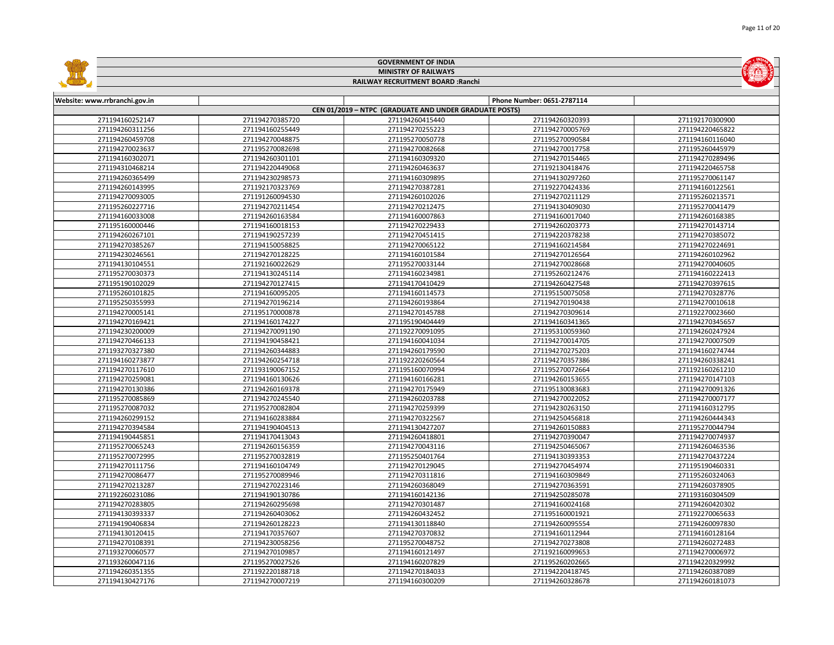|                                    |                                    | <b>GOVERNMENT OF INDIA</b>                             |                                    |                                    |  |  |
|------------------------------------|------------------------------------|--------------------------------------------------------|------------------------------------|------------------------------------|--|--|
|                                    | <b>MINISTRY OF RAILWAYS</b>        |                                                        |                                    |                                    |  |  |
|                                    |                                    | RAILWAY RECRUITMENT BOARD : Ranchi                     |                                    |                                    |  |  |
|                                    |                                    |                                                        |                                    |                                    |  |  |
| Website: www.rrbranchi.gov.in      |                                    |                                                        | Phone Number: 0651-2787114         |                                    |  |  |
|                                    |                                    | CEN 01/2019 - NTPC (GRADUATE AND UNDER GRADUATE POSTS) |                                    |                                    |  |  |
| 271194160252147                    | 271194270385720                    | 271194260415440                                        | 271194260320393                    | 271192170300900                    |  |  |
| 271194260311256                    | 271194160255449                    | 271194270255223                                        | 271194270005769                    | 271194220465822                    |  |  |
| 271194260459708                    | 271194270048875                    | 271195270050778                                        | 271195270090584                    | 271194160116040                    |  |  |
| 271194270023637                    | 271195270082698                    | 271194270082668                                        | 271194270017758                    | 271195260445979                    |  |  |
| 271194160302071                    | 271194260301101                    | 271194160309320                                        | 271194270154465                    | 271194270289496                    |  |  |
| 271194310468214                    | 271194220449068                    | 271194260463637                                        | 271192130418476                    | 271194220465758                    |  |  |
| 271194260365499                    | 271194230298573                    | 271194160309895                                        | 271194130297260                    | 271195270061147                    |  |  |
| 271194260143995                    | 271192170323769                    | 271194270387281                                        | 271192270424336                    | 271194160122561                    |  |  |
| 271194270093005                    | 271191260094530                    | 271194260102026                                        | 271194270211129                    | 271195260213571                    |  |  |
| 271195260227716                    | 271194270211454                    | 271194270212475                                        | 271194130409030                    | 271195270041479                    |  |  |
| 271194160033008                    | 271194260163584                    | 271194160007863                                        | 271194160017040                    | 271194260168385                    |  |  |
| 271195160000446                    | 271194160018153                    | 271194270229433                                        | 271194260203773                    | 271194270143714                    |  |  |
| 271194260267101                    | 271194190257239                    | 271194270451415                                        | 271194220378238                    | 271194270385072                    |  |  |
| 271194270385267                    | 271194150058825                    | 271194270065122                                        | 271194160214584                    | 271194270224691                    |  |  |
| 271194230246561                    | 271194270128225                    | 271194160101584                                        | 271194270126564                    | 271194260102962                    |  |  |
| 271194130104551                    | 271192160022629                    | 271195270033144                                        | 271194270028668                    | 271194270040605                    |  |  |
| 271195270030373                    | 271194130245114                    | 271194160234981                                        | 271195260212476                    | 271194160222413                    |  |  |
| 271195190102029                    | 271194270127415                    | 271194170410429                                        | 271194260427548                    | 271194270397615                    |  |  |
| 271195260101825                    | 271194160095205                    | 271194160114573                                        | 271195150075058                    | 271194270328776                    |  |  |
| 271195250355993                    | 271194270196214                    | 271194260193864                                        | 271194270190438                    | 271194270010618                    |  |  |
| 271194270005141                    | 271195170000878                    | 271194270145788                                        | 271194270309614                    | 271192270023660                    |  |  |
| 271194270169421                    | 271194160174227                    | 271195190404449                                        | 271194160341365                    | 271194270345657                    |  |  |
| 271194230200009                    | 271194270091190                    | 271192270091095                                        | 271195310059360                    | 271194260247924                    |  |  |
| 271194270466133                    | 271194190458421                    | 271194160041034                                        | 271194270014705                    | 271194270007509                    |  |  |
| 271193270327380                    | 271194260344883                    | 271194260179590                                        | 271194270275203                    | 271194160274744                    |  |  |
| 271194160273877                    | 271194260254718                    | 271192220260564                                        | 271194270357386                    | 271194260338241                    |  |  |
| 271194270117610                    | 271193190067152                    | 271195160070994                                        | 271195270072664                    | 271192160261210                    |  |  |
| 271194270259081                    | 271194160130626                    | 271194160166281                                        | 271194260153655                    | 271194270147103                    |  |  |
| 271194270130386                    | 271194260169378                    | 271194270175949                                        | 271195130083683                    | 271194270091326                    |  |  |
| 271195270085869                    | 271194270245540                    | 271194260203788                                        | 271194270022052                    | 271194270007177                    |  |  |
| 271195270087032                    | 271195270082804                    | 271194270259399                                        | 271194230263150                    | 271194160312795                    |  |  |
| 271194260299152                    | 271194160283884                    | 271194270322567                                        | 271194250456818                    | 271194260444343                    |  |  |
| 271194270394584<br>271194190445851 | 271194190404513<br>271194170413043 | 271194130427207<br>271194260418801                     | 271194260150883                    | 271195270044794<br>271194270074937 |  |  |
| 271195270065243                    | 271194260156359                    | 271194270043116                                        | 271194270390047<br>271194250465067 | 271194260463536                    |  |  |
| 271195270072995                    | 271195270032819                    | 271195250401764                                        | 271194130393353                    | 271194270437224                    |  |  |
| 271194270111756                    | 271194160104749                    | 271194270129045                                        | 271194270454974                    | 271195190460331                    |  |  |
| 271194270086477                    | 271195270089946                    | 271194270311816                                        | 271194160309849                    | 271195260324063                    |  |  |
| 271194270213287                    | 271194270223146                    | 271194260368049                                        | 271194270363591                    | 271194260378905                    |  |  |
| 271192260231086                    | 271194190130786                    | 271194160142136                                        | 271194250285078                    | 271193160304509                    |  |  |
| 271194270283805                    | 271194260295698                    | 271194270301487                                        | 271194160024168                    | 271194260420302                    |  |  |
| 271194130393337                    | 271194260403062                    | 271194260432452                                        | 271195160001921                    | 271192270065633                    |  |  |
| 271194190406834                    | 271194260128223                    | 271194130118840                                        | 271194260095554                    | 271194260097830                    |  |  |
| 271194130120415                    | 271194170357607                    | 271194270370832                                        | 271194160112944                    | 271194160128164                    |  |  |
| 271194270108391                    | 271194230058256                    | 271195270048752                                        | 271194270273808                    | 271194260272483                    |  |  |
| 271193270060577                    | 271194270109857                    | 271194160121497                                        | 271192160099653                    | 271194270006972                    |  |  |
| 271193260047116                    | 271195270027526                    | 271194160207829                                        | 271195260202665                    | 271194220329992                    |  |  |
| 271194260351355                    | 271192220188718                    | 271194270184033                                        | 271194220418745                    | 271194260387089                    |  |  |
| 271194130427176                    | 271194270007219                    | 271194160300209                                        | 271194260328678                    | 271194260181073                    |  |  |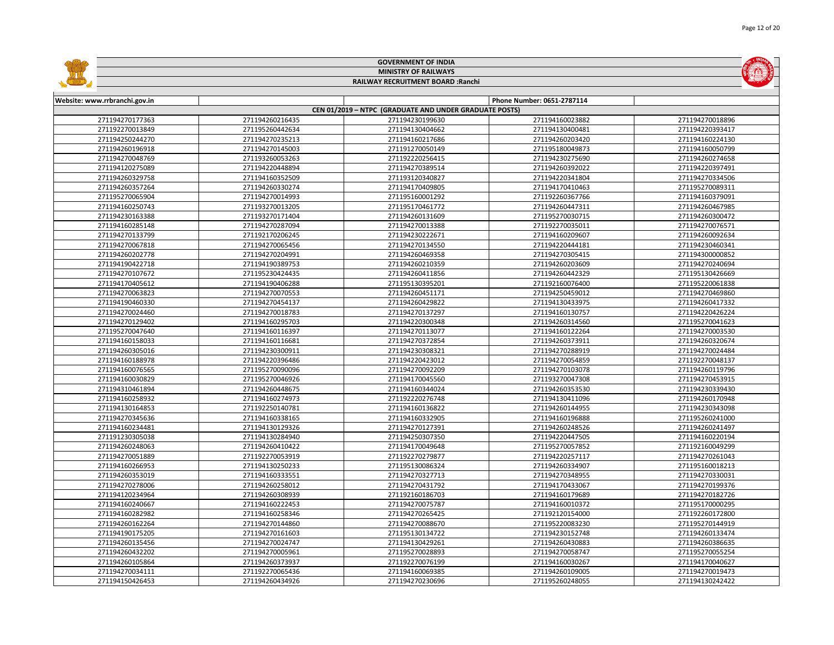|                                    |                                    | <b>GOVERNMENT OF INDIA</b>                             |                                    |                                    |
|------------------------------------|------------------------------------|--------------------------------------------------------|------------------------------------|------------------------------------|
|                                    |                                    | <b>MINISTRY OF RAILWAYS</b>                            |                                    |                                    |
|                                    |                                    | RAILWAY RECRUITMENT BOARD : Ranchi                     |                                    |                                    |
|                                    |                                    |                                                        |                                    |                                    |
| Website: www.rrbranchi.gov.in      |                                    |                                                        | Phone Number: 0651-2787114         |                                    |
|                                    |                                    | CEN 01/2019 - NTPC (GRADUATE AND UNDER GRADUATE POSTS) |                                    |                                    |
| 271194270177363                    | 271194260216435                    | 271194230199630                                        | 271194160023882                    | 271194270018896                    |
| 271192270013849                    | 271195260442634                    | 271194130404662                                        | 271194130400481                    | 271194220393417                    |
| 271194250244270                    | 271194270235213                    | 271194160217686                                        | 271194260203420                    | 271194160224130                    |
| 271194260196918                    | 271194270145003                    | 271191270050149                                        | 271195180049873                    | 271194160050799                    |
| 271194270048769                    | 271193260053263                    | 271192220256415                                        | 271194230275690                    | 271194260274658                    |
| 271194120275089                    | 271194220448894                    | 271194270389514                                        | 271194260392022                    | 271194220397491                    |
| 271194260329758                    | 271194160352509                    | 271193120340827                                        | 271194220341804                    | 271194270334506                    |
| 271194260357264                    | 271194260330274                    | 271194170409805                                        | 271194170410463                    | 271195270089311                    |
| 271195270065904                    | 271194270014993                    | 271195160001292                                        | 271192260367766                    | 271194160379091                    |
| 271194160250743                    | 271193270013205                    | 271195170461772                                        | 271194260447311                    | 271194260467985                    |
| 271194230163388                    | 271193270171404                    | 271194260131609                                        | 271195270030715                    | 271194260300472                    |
| 271194160285148                    | 271194270287094                    | 271194270013388                                        | 271192270035011                    | 271194270076571                    |
| 271194270133799                    | 271192170206245                    | 271194230222671                                        | 271194160209607                    | 271194260092634                    |
| 271194270067818                    | 271194270065456                    | 271194270134550                                        | 271194220444181                    | 271194230460341                    |
| 271194260202778                    | 271194270204991                    | 271194260469358                                        | 271194270305415                    | 271194300000852                    |
| 271194190422718                    | 271194190389753                    | 271194260210359                                        | 271194260203609                    | 271194270240694                    |
| 271194270107672                    | 271195230424435                    | 271194260411856                                        | 271194260442329                    | 271195130426669                    |
| 271194170405612                    | 271194190406288                    | 271195130395201                                        | 271192160076400                    | 271195220061838                    |
| 271194270063823                    | 271194270070553                    | 271194260451171                                        | 271194250459012                    | 271194270469860                    |
| 271194190460330                    | 271194270454137                    | 271194260429822                                        | 271194130433975                    | 271194260417332                    |
| 271194270024460                    | 271194270018783                    | 271194270137297                                        | 271194160130757                    | 271194220426224                    |
| 271194270129402                    | 271194160295703                    | 271194220300348                                        | 271194260314560                    | 271195270041623                    |
| 271195270047640                    | 271194160116397                    | 271194270113077                                        | 271194160122264                    | 271194270003530                    |
| 271194160158033                    | 271194160116681                    | 271194270372854                                        | 271194260373911                    | 271194260320674                    |
| 271194260305016                    | 271194230300911                    | 271194230308321                                        | 271194270288919                    | 271194270024484                    |
| 271194160188978                    | 271194220396486                    | 271194220423012                                        | 271194270054859                    | 271192270048137                    |
| 271194160076565                    | 271195270090096                    | 271194270092209                                        | 271194270103078                    | 271194260119796                    |
| 271194160030829                    | 271195270046926                    | 271194170045560                                        | 271193270047308                    | 271194270453915                    |
| 271194310461894                    | 271194260448675                    | 271194160344024                                        | 271194260353530                    | 271194230339430                    |
| 271194160258932                    | 271194160274973                    | 271192220276748                                        | 271194130411096                    | 271194260170948                    |
| 271194130164853                    | 271192250140781                    | 271194160136822                                        | 271194260144955                    | 271194230343098                    |
| 271194270345636                    | 271194160338165                    | 271194160332905                                        | 271194160196888                    | 271195260241000                    |
| 271194160234481<br>271191230305038 | 271194130129326<br>271194130284940 | 271194270127391<br>271194250307350                     | 271194260248526<br>271194220447505 | 271194260241497<br>271194160220194 |
| 271194260248063                    | 271194260410422                    | 271194170049648                                        | 271195270057852                    | 271192160049299                    |
| 271194270051889                    | 271192270053919                    | 271192270279877                                        | 271194220257117                    | 271194270261043                    |
| 271194160266953                    | 271194130250233                    | 271195130086324                                        | 271194260334907                    | 271195160018213                    |
| 271194260353019                    | 271194160333551                    | 271194270327713                                        | 271194270348955                    | 271194270330031                    |
| 271194270278006                    | 271194260258012                    | 271194270431792                                        | 271194170433067                    | 271194270199376                    |
| 271194120234964                    | 271194260308939                    | 271192160186703                                        | 271194160179689                    | 271194270182726                    |
| 271194160240667                    | 271194160222453                    | 271194270075787                                        | 271194160010372                    | 271195170000295                    |
| 271194160282982                    | 271194160258346                    | 271194270265425                                        | 271192120154000                    | 271192260172800                    |
| 271194260162264                    | 271194270144860                    | 271194270088670                                        | 271195220083230                    | 271195270144919                    |
| 271194190175205                    | 271194270161603                    | 271195130134722                                        | 271194230152748                    | 271194260133474                    |
| 271194260135456                    | 271194270024747                    | 271194130429261                                        | 271194260430883                    | 271194260386635                    |
| 271194260432202                    | 271194270005961                    | 271195270028893                                        | 271194270058747                    | 271195270055254                    |
| 271194260105864                    | 271194260373937                    | 271192270076199                                        | 271194160030267                    | 271194170040627                    |
| 271194270034111                    | 271192270065436                    | 271194160069385                                        | 271194260109005                    | 271194270019473                    |
| 271194150426453                    | 271194260434926                    | 271194270230696                                        | 271195260248055                    | 271194130242422                    |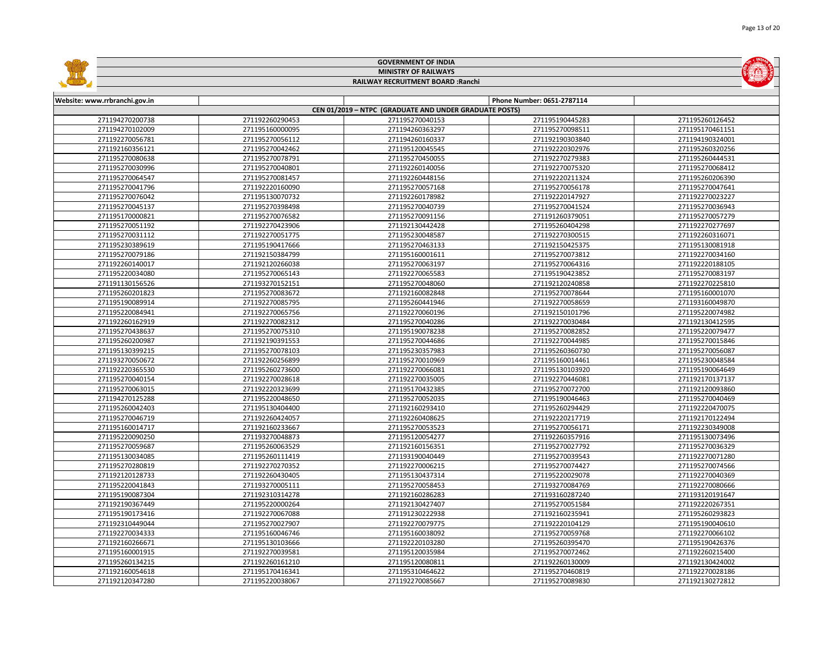|                               |                 | <b>GOVERNMENT OF INDIA</b>                             |                            |                 |
|-------------------------------|-----------------|--------------------------------------------------------|----------------------------|-----------------|
| <b>MINISTRY OF RAILWAYS</b>   |                 |                                                        |                            |                 |
|                               |                 | RAILWAY RECRUITMENT BOARD : Ranchi                     |                            |                 |
|                               |                 |                                                        |                            |                 |
| Website: www.rrbranchi.gov.in |                 |                                                        | Phone Number: 0651-2787114 |                 |
|                               |                 | CEN 01/2019 - NTPC (GRADUATE AND UNDER GRADUATE POSTS) |                            |                 |
| 271194270200738               | 271192260290453 | 271195270040153                                        | 271195190445283            | 271195260126452 |
| 271194270102009               | 271195160000095 | 271194260363297                                        | 271195270098511            | 271195170461151 |
| 271192270056781               | 271195270056112 | 271194260160337                                        | 271192190303840            | 271194190324001 |
| 271192160356121               | 271195270042462 | 271195120045545                                        | 271192220302976            | 271195260320256 |
| 271195270080638               | 271195270078791 | 271195270450055                                        | 271192270279383            | 271195260444531 |
| 271195270030996               | 271195270040801 | 271192260140056                                        | 271192270075320            | 271195270068412 |
| 271195270064547               | 271195270081457 | 271192260448156                                        | 271192220211324            | 271195260206390 |
| 271195270041796               | 271192220160090 | 271195270057168                                        | 271195270056178            | 271195270047641 |
| 271195270076042               | 271195130070732 | 271192260178982                                        | 271192220147927            | 271192270023227 |
| 271195270045137               | 271195270398498 | 271195270040739                                        | 271195270041524            | 271195270036943 |
| 271195170000821               | 271195270076582 | 271195270091156                                        | 271191260379051            | 271195270057279 |
| 271195270051192               | 271192270423906 | 271192130442428                                        | 271195260404298            | 271192270277697 |
| 271195270031112               | 271192270051775 | 271195230048587                                        | 271192270300515            | 271192260316071 |
| 271195230389619               | 271195190417666 | 271195270463133                                        | 271192150425375            | 271195130081918 |
| 271195270079186               | 271192150384799 | 271195160001611                                        | 271195270073812            | 271192270034160 |
| 271192260140017               | 271192120266038 | 271195270063197                                        | 271195270064316            | 271192220188105 |
| 271195220034080               | 271195270065143 | 271192270065583                                        | 271195190423852            | 271195270083197 |
| 271191130156526               | 271193270152151 | 271195270048060                                        | 271192120240858            | 271192270225810 |
| 271195260201823               | 271195270083672 | 271192160082848                                        | 271195270078644            | 271195160001070 |
| 271195190089914               | 271192270085795 | 271195260441946                                        | 271192270058659            | 271193160049870 |
| 271195220084941               | 271192270065756 | 271192270060196                                        | 271192150101796            | 271195220074982 |
| 271192260162919               | 271192270082312 | 271195270040286                                        | 271192270030484            | 271192130412595 |
| 271195270438637               | 271195270075310 | 271195190078238                                        | 271195270082852            | 271195220079477 |
| 271195260200987               | 271192190391553 | 271195270044686                                        | 271192270044985            | 271195270015846 |
| 271195130399215               | 271195270078103 | 271195230357983                                        | 271195260360730            | 271195270056087 |
| 271193270050672               | 271192260256899 | 271195270010969                                        | 271195160014461            | 271195230048584 |
| 271192220365530               | 271195260273600 | 271192270066081                                        | 271195130103920            | 271195190064649 |
| 271195270040154               | 271192270028618 | 271192270035005                                        | 271192270446081            | 271192170137137 |
| 271195270063015               | 271192220323699 | 271195170432385                                        | 271195270072700            | 271192120093860 |
| 271194270125288               | 271195220048650 | 271195270052035                                        | 271195190046463            | 271195270040469 |
| 271195260042403               | 271195130404400 | 271192160293410                                        | 271195260294429            | 271192220470075 |
| 271195270046719               | 271192260424057 | 271192260408625                                        | 271192220217719            | 271192170122494 |
| 271195160014717               | 271192160233667 | 271195270053523                                        | 271195270056171            | 271192230349008 |
| 271195220090250               | 271193270048873 | 271195120054277                                        | 271192260357916            | 271195130073496 |
| 271195270059687               | 271195260063529 | 271192160156351                                        | 271195270027792            | 271195270036329 |
| 271195130034085               | 271195260111419 | 271193190040449                                        | 271195270039543            | 271192270071280 |
| 271195270280819               | 271192270270352 | 271192270006215                                        | 271195270074427            | 271195270074566 |
| 271192120128733               | 271192260430405 | 271195130437314                                        | 271195220029078            | 271192270040369 |
| 271195220041843               | 271193270005111 | 271195270058453                                        | 271193270084769            | 271192270080666 |
| 271195190087304               | 271192310314278 | 271192160286283                                        | 271193160287240            | 271193120191647 |
| 271192190367449               | 271195220000264 | 271192130427407                                        | 271195270051584            | 271192220267351 |
| 271195190173416               | 271192270067088 | 271191230222938                                        | 271192160235941            | 271195260293823 |
| 271192310449044               | 271195270027907 | 271192270079775                                        | 271192220104129            | 271195190040610 |
| 271192270034333               | 271195160046746 | 271195160038092                                        | 271195270059768            | 271192270066102 |
| 271192160266671               | 271195130103666 | 271192220103280                                        | 271195260395470            | 271195190426376 |
| 271195160001915               | 271192270039581 | 271195120035984                                        | 271195270072462            | 271192260215400 |
| 271195260134215               | 271192260161210 | 271195120080811                                        | 271192260130009            | 271192130424002 |
| 271192160054618               | 271195170416341 | 271195310464622                                        | 271195270460819            | 271192270028186 |
| 271192120347280               | 271195220038067 | 271192270085667                                        | 271195270089830            | 271192130272812 |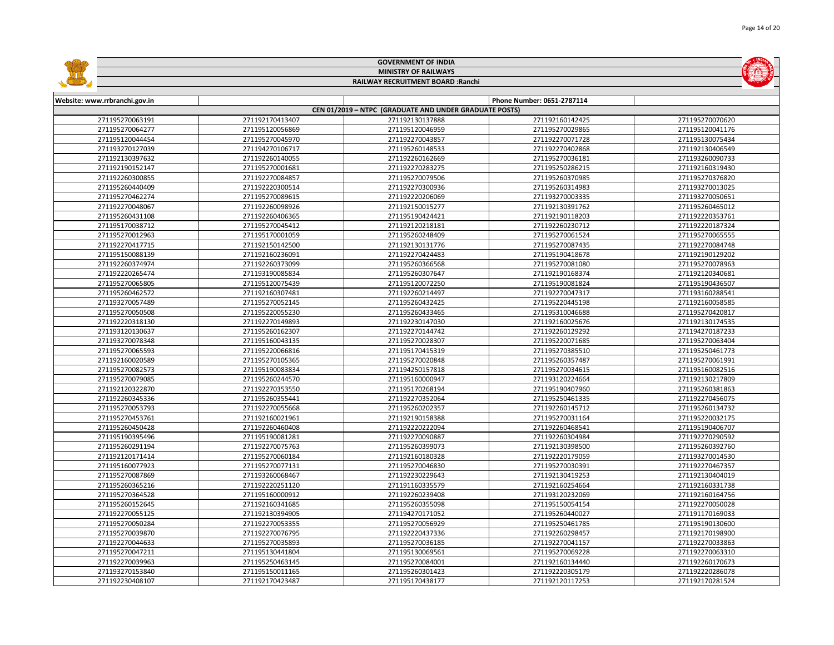|                               |                 | <b>GOVERNMENT OF INDIA</b>                             |                            |                 |  |  |  |
|-------------------------------|-----------------|--------------------------------------------------------|----------------------------|-----------------|--|--|--|
| <b>MINISTRY OF RAILWAYS</b>   |                 |                                                        |                            |                 |  |  |  |
|                               |                 | RAILWAY RECRUITMENT BOARD : Ranchi                     |                            |                 |  |  |  |
|                               |                 |                                                        |                            |                 |  |  |  |
| Website: www.rrbranchi.gov.in |                 |                                                        | Phone Number: 0651-2787114 |                 |  |  |  |
|                               |                 | CEN 01/2019 - NTPC (GRADUATE AND UNDER GRADUATE POSTS) |                            |                 |  |  |  |
| 271195270063191               | 271192170413407 | 271192130137888                                        | 271192160142425            | 271195270070620 |  |  |  |
| 271195270064277               | 271195120056869 | 271195120046959                                        | 271195270029865            | 271195120041176 |  |  |  |
| 271195120044454               | 271195270045970 | 271192270043857                                        | 271192270071728            | 271195130075434 |  |  |  |
| 271193270127039               | 271194270106717 | 271195260148533                                        | 271192270402868            | 271192130406549 |  |  |  |
| 271192130397632               | 271192260140055 | 271192260162669                                        | 271195270036181            | 271193260090733 |  |  |  |
| 271192190152147               | 271195270001681 | 271192270283275                                        | 271195250286215            | 271192160319430 |  |  |  |
| 271192260300855               | 271192270084857 | 271195270079506                                        | 271195260370985            | 271195270376820 |  |  |  |
| 271195260440409               | 271192220300514 | 271192270300936                                        | 271195260314983            | 271193270013025 |  |  |  |
| 271195270462274               | 271195270089615 | 271192220206069                                        | 271193270003335            | 271193270050651 |  |  |  |
| 271192270048067               | 271192260098926 | 271192150015277                                        | 271192130391762            | 271195260465012 |  |  |  |
| 271195260431108               | 271192260406365 | 271195190424421                                        | 271192190118203            | 271192220353761 |  |  |  |
| 271195170038712               | 271195270045412 | 271192120218181                                        | 271192260230712            | 271192220187324 |  |  |  |
| 271195270012963               | 271195170001059 | 271195260248409                                        | 271195270061524            | 271195270065555 |  |  |  |
| 271192270417715               | 271192150142500 | 271192130131776                                        | 271195270087435            | 271192270084748 |  |  |  |
| 271195150088139               | 271192160236091 | 271192270424483                                        | 271195190418678            | 271192190129202 |  |  |  |
| 271192260374974               | 271192260373099 | 271195260366568                                        | 271195270081080            | 271195270078963 |  |  |  |
| 271192220265474               | 271193190085834 | 271195260307647                                        | 271192190168374            | 271192120340681 |  |  |  |
| 271195270065805               | 271195120075439 | 271195120072250                                        | 271195190081824            | 271195190436507 |  |  |  |
| 271195260462572               | 271192160307481 | 271192260214497                                        | 271192270047317            | 271193160288541 |  |  |  |
| 271193270057489               | 271195270052145 | 271195260432425                                        | 271195220445198            | 271192160058585 |  |  |  |
| 271195270050508               | 271195220055230 | 271195260433465                                        | 271195310046688            | 271195270420817 |  |  |  |
| 271192220318130               | 271192270149893 | 271192230147030                                        | 271192160025676            | 271192130174535 |  |  |  |
| 271193120130637               | 271195260162307 | 271192270144742                                        | 271192260129292            | 271194270187233 |  |  |  |
| 271193270078348               | 271195160043135 | 271195270028307                                        | 271195220071685            | 271195270063404 |  |  |  |
| 271195270065593               | 271195220066816 | 271195170415319                                        | 271195270385510            | 271195250461773 |  |  |  |
| 271192160020589               | 271195270105365 | 271195270020848                                        | 271195260357487            | 271195270061991 |  |  |  |
| 271195270082573               | 271195190083834 | 271194250157818                                        | 271195270034615            | 271195160082516 |  |  |  |
| 271195270079085               | 271195260244570 | 271195160000947                                        | 271193120224664            | 271192130217809 |  |  |  |
| 271192120322870               | 271192270353550 | 271195170268194                                        | 271195190407960            | 271195260381863 |  |  |  |
| 271192260345336               | 271195260355441 | 271192270352064                                        | 271195250461335            | 271192270456075 |  |  |  |
| 271195270053793               | 271192270055668 | 271195260202357                                        | 271192260145712            | 271195260134732 |  |  |  |
| 271195270453761               | 271192160021961 | 271192190158388                                        | 271195270031164            | 271195220032175 |  |  |  |
| 271195260450428               | 271192260460408 | 271192220222094                                        | 271192260468541            | 271195190406707 |  |  |  |
| 271195190395496               | 271195190081281 | 271192270090887                                        | 271192260304984            | 271192270290592 |  |  |  |
| 271195260291194               | 271192270075763 | 271195260399073                                        | 271192130398500            | 271195260392760 |  |  |  |
| 271192120171414               | 271195270060184 | 271192160180328                                        | 271192220179059            | 271193270014530 |  |  |  |
| 271195160077923               | 271195270077131 | 271195270046830                                        | 271195270030391            | 271192270467357 |  |  |  |
| 271195270087869               | 271193260068467 | 271192230229643                                        | 271192130419253            | 271192130404019 |  |  |  |
| 271195260365216               | 271192220251120 | 271191160335579                                        | 271192160254664            | 271192160331738 |  |  |  |
| 271195270364528               | 271195160000912 | 271192260239408                                        | 271193120232069            | 271192160164756 |  |  |  |
| 271195260152645               | 271192160341685 | 271195260355098                                        | 271195150054154            | 271192270050028 |  |  |  |
| 271192270055125               | 271192130394905 | 271194270171052                                        | 271195260440027            | 271191170169033 |  |  |  |
| 271195270050284               | 271192270053355 | 271195270056929                                        | 271195250461785            | 271195190130600 |  |  |  |
| 271195270039870               | 271192270076795 | 271192220437336                                        | 271192260298457            | 271192170198900 |  |  |  |
| 271192270044633               | 271195270035893 | 271195270036185                                        | 271192270041157            | 271192270033863 |  |  |  |
| 271195270047211               | 271195130441804 | 271195130069561                                        | 271195270069228            | 271192270063310 |  |  |  |
| 271192270039963               | 271195250463145 | 271195270084001                                        | 271192160134440            | 271192260170673 |  |  |  |
| 271193270153840               | 271195150011165 | 271195260301423                                        | 271192220305179            | 271192220286078 |  |  |  |
| 271192230408107               | 271192170423487 | 271195170438177                                        | 271192120117253            | 271192170281524 |  |  |  |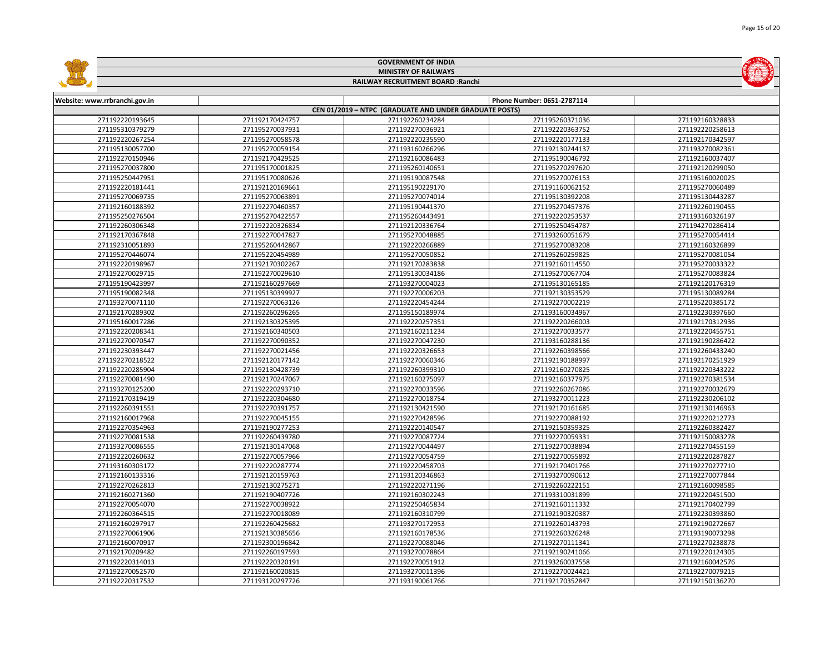|                                    |                                    | <b>GOVERNMENT OF INDIA</b>                             |                                    |                                    |  |
|------------------------------------|------------------------------------|--------------------------------------------------------|------------------------------------|------------------------------------|--|
| <b>MINISTRY OF RAILWAYS</b>        |                                    |                                                        |                                    |                                    |  |
|                                    |                                    | RAILWAY RECRUITMENT BOARD : Ranchi                     |                                    |                                    |  |
|                                    |                                    |                                                        |                                    |                                    |  |
| Website: www.rrbranchi.gov.in      |                                    |                                                        | Phone Number: 0651-2787114         |                                    |  |
|                                    |                                    | CEN 01/2019 - NTPC (GRADUATE AND UNDER GRADUATE POSTS) |                                    |                                    |  |
| 271192220193645                    | 271192170424757                    | 271192260234284                                        | 271195260371036                    | 271192160328833                    |  |
| 271195310379279                    | 271195270037931                    | 271192270036921                                        | 271192220363752                    | 271192220258613                    |  |
| 271192220267254                    | 271195270058578                    | 271192220235590                                        | 271192220177133                    | 271192170342597                    |  |
| 271195130057700                    | 271195270059154                    | 271193160266296                                        | 271192130244137                    | 271193270082361                    |  |
| 271192270150946                    | 271192170429525                    | 271192160086483                                        | 271195190046792                    | 271192160037407                    |  |
| 271195270037800                    | 271195170001825                    | 271195260140651                                        | 271195270297620                    | 271192120299050                    |  |
| 271195250447951                    | 271195170080626                    | 271195190087548                                        | 271195270076153                    | 271195160020025                    |  |
| 271192220181441                    | 271192120169661                    | 271195190229170                                        | 271191160062152                    | 271195270060489                    |  |
| 271195270069735                    | 271195270063891                    | 271195270074014                                        | 271195130392208                    | 271195130443287                    |  |
| 271192160188392                    | 271192270460357                    | 271195190441370                                        | 271195270457376                    | 271192260190455                    |  |
| 271195250276504                    | 271195270422557                    | 271195260443491                                        | 271192220253537                    | 271193160326197                    |  |
| 271192260306348                    | 271192220326834                    | 271192120336764                                        | 271195250454787                    | 271194270286414                    |  |
| 271192170367848                    | 271192270047827                    | 271195270048885                                        | 271193260051679                    | 271195270054414                    |  |
| 271192310051893                    | 271195260442867                    | 271192220266889                                        | 271195270083208                    | 271192160326899                    |  |
| 271195270446074                    | 271195220454989                    | 271195270050852                                        | 271195260259825                    | 271195270081054                    |  |
| 271192220198967                    | 271192170302267                    | 271192170283838                                        | 271192160114550                    | 271195270033322                    |  |
| 271192270029715                    | 271192270029610                    | 271195130034186                                        | 271195270067704                    | 271195270083824                    |  |
| 271195190423997                    | 271192160297669                    | 271193270004023                                        | 271195130165185                    | 271192120176319                    |  |
| 271195190082348                    | 271195130399927                    | 271192270006203                                        | 271192130353529                    | 271195130089284                    |  |
| 271193270071110                    | 271192270063126                    | 271192220454244                                        | 271192270002219                    | 271195220385172                    |  |
| 271192170289302                    | 271192260296265                    | 271195150189974                                        | 271193160034967                    | 271192230397660                    |  |
| 271195160017286                    | 271192130325395                    | 271192220257351                                        | 271192220266003                    | 271192170312936                    |  |
| 271192220208341                    | 271192160340503                    | 271192160211234                                        | 271192270033577                    | 271192220455751                    |  |
| 271192270070547                    | 271192270090352                    | 271192270047230                                        | 271193160288136                    | 271192190286422                    |  |
| 271192230393447                    | 271192270021456                    | 271192220326653                                        | 271192260398566                    | 271192260433240                    |  |
| 271192270218522                    | 271192120177142                    | 271192270060346                                        | 271192190188997                    | 271192170251929                    |  |
| 271192220285904                    | 271192130428739                    | 271192260399310                                        | 271192160270825                    | 271192220343222                    |  |
| 271192270081490                    | 271192170247067                    | 271192160275097                                        | 271192160377975                    | 271192270381534                    |  |
| 271193270125200                    | 271192220293710                    | 271192270033596                                        | 271192260267086                    | 271192270032679                    |  |
| 271192170319419                    | 271192220304680                    | 271192270018754                                        | 271193270011223                    | 271192230206102                    |  |
| 271192260391551                    | 271192270391757                    | 271192130421590                                        | 271192170161685                    | 271192130146963                    |  |
| 271192160017968                    | 271192270045155                    | 271192270428596                                        | 271192270088192                    | 271192220212773                    |  |
| 271192270354963                    | 271192190277253                    | 271192220140547                                        | 271192150359325                    | 271192260382427                    |  |
| 271192270081538                    | 271192260439780                    | 271192270087724                                        | 271192270059331                    | 271192150083278                    |  |
| 271193270086555                    | 271192130147068                    | 271192270044497                                        | 271192270038894                    | 271192270455159                    |  |
| 271192220260632                    | 271192270057966                    | 271192270054759                                        | 271192270055892                    | 271192220287827                    |  |
| 271193160303172                    | 271192220287774                    | 271192220458703                                        | 271192170401766                    | 271192270277710                    |  |
| 271192160133316                    | 271192120159763                    | 271193120346863                                        | 271193270090612                    | 271192270077844                    |  |
| 271192270262813                    | 271192130275271                    | 271192220271196                                        | 271192260222151                    | 271192160098585                    |  |
| 271192160271360                    | 271192190407726                    | 271192160302243                                        | 271193310031899                    | 271192220451500                    |  |
| 271192270054070                    | 271192270038922                    | 271192250465834                                        | 271192160111332                    | 271192170402799                    |  |
| 271192260364515                    | 271192270018089                    | 271192160310799                                        | 271192190320387                    | 271192230393860                    |  |
| 271192160297917                    | 271192260425682                    | 271193270172953                                        | 271192260143793                    | 271192190272667                    |  |
| 271192270061906                    | 271192130385656                    | 271192160178536                                        | 271192260326248                    | 271193190073298                    |  |
| 271192160070917                    | 271192300196842                    | 271192270088046                                        | 271192270111341                    | 271192270238878                    |  |
| 271192170209482<br>271192220314013 | 271192260197593<br>271192220320191 | 271193270078864<br>271192270051912                     | 271192190241066                    | 271192220124305<br>271192160042576 |  |
| 271192270052570                    | 271192160020815                    | 271193270011396                                        | 271193260037558<br>271192270024421 | 271192270079215                    |  |
| 271192220317532                    | 271193120297726                    | 271193190061766                                        | 271192170352847                    | 271192150136270                    |  |
|                                    |                                    |                                                        |                                    |                                    |  |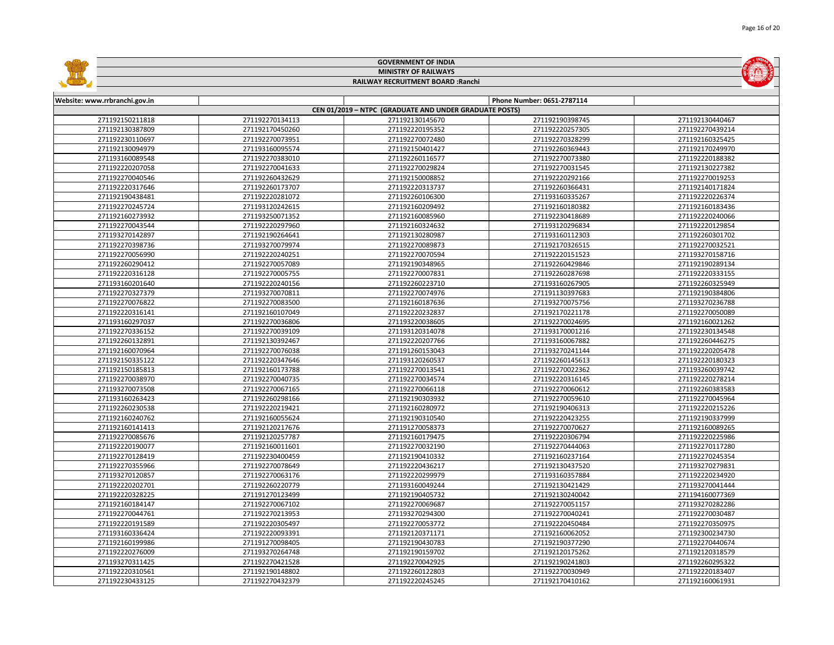| <b>MINISTRY OF RAILWAYS</b><br>RAILWAY RECRUITMENT BOARD : Ranchi<br>Phone Number: 0651-2787114<br>Website: www.rrbranchi.gov.in<br>CEN 01/2019 - NTPC (GRADUATE AND UNDER GRADUATE POSTS)<br>271192150211818<br>271192130145670<br>271192130440467<br>271192270134113<br>271192190398745<br>271192130387809<br>271192170450260<br>271192220195352<br>271192220257305<br>271192270439214<br>271192230110697<br>271192270073951<br>271192270072480<br>271192270328299<br>271192160325425<br>271192130094979<br>271193160095574<br>271192150401427<br>271192260369443<br>271192170249970<br>271193160089548<br>271192270383010<br>271192260116577<br>271192270073380<br>271192220188382<br>271192220207058<br>271192270041633<br>271192270029824<br>271192270031545<br>271192130227382<br>271192220292166<br>271192270040546<br>271192260432629<br>271192150008852<br>271192270019253<br>271192220317646<br>271192220313737<br>271192140171824<br>271192260173707<br>271192260366431<br>271192190438481<br>271192220281072<br>271192260106300<br>271193160335267<br>271192220226374<br>271193120242615<br>271192160180382<br>271192270245724<br>271192160209492<br>271192160183436<br>271192160273932<br>271193250071352<br>271192160085960<br>271192230418689<br>271192220240066<br>271192270043544<br>271192220297960<br>271192160324632<br>271193120296834<br>271192220129854<br>271193160112303<br>271193270142897<br>271192190264641<br>271192130280987<br>271192260301702<br>271192270398736<br>271193270079974<br>271192170326515<br>271192270032521<br>271192270089873<br>271192270056990<br>271192220240251<br>271192270070594<br>271192220151523<br>271193270158716<br>271192260290412<br>271192270057089<br>271192190348965<br>271192260429846<br>271192190289134<br>271192220316128<br>271192270005755<br>271192270007831<br>271192260287698<br>271192220333155<br>271193160201640<br>271192220240156<br>271192260223710<br>271193160267905<br>271192260325949<br>271192270327379<br>271193270070811<br>271192270074976<br>271191130397683<br>271192190384806<br>271192270076822<br>271192270083500<br>271192160187636<br>271193270075756<br>271193270236788<br>271192220316141<br>271192160107049<br>271192220232837<br>271192170221178<br>271192270050089<br>271193160297037<br>271192270036806<br>271193220038605<br>271192270024695<br>271192160021262<br>271193120314078<br>271192270336152<br>271192270039109<br>271193170001216<br>271192230134548<br>271192260132891<br>271192130392467<br>271192220207766<br>271193160067882<br>271192260446275<br>271192220205478<br>271192160070964<br>271192270076038<br>271191260153043<br>271193270241144<br>271192150335122<br>271192220347646<br>271193120260537<br>271192260145613<br>271192220180323<br>271192150185813<br>271192160173788<br>271192270013541<br>271192270022362<br>271193260039742<br>271192270038970<br>271192270040735<br>271192270034574<br>271192220316145<br>271192220278214<br>271192270066118<br>271193270073508<br>271192270067165<br>271192270060612<br>271192260383583<br>271193160263423<br>271192260298166<br>271192190303932<br>271192270059610<br>271192270045964<br>271192260230538<br>271192220219421<br>271192160280972<br>271192190406313<br>271192220215226<br>271192160055624<br>271192190310540<br>271192220423255<br>271192190337999<br>271192160240762<br>271192160141413<br>271192120217676<br>271191270058373<br>271192270070627<br>271192160089265<br>271192270085676<br>271192120257787<br>271192160179475<br>271192220306794<br>271192220225986<br>271192220190077<br>271192160011601<br>271192270032190<br>271192270444063<br>271192270117280<br>271192270128419<br>271192230400459<br>271192270245354<br>271192190410332<br>271192160237164<br>271192270078649<br>271192220436217<br>271193270279831<br>271192270355966<br>271192130437520<br>271193270120857<br>271192270063176<br>271192220299979<br>271193160357884<br>271192220234920<br>271192220202701<br>271192260220779<br>271193160049244<br>271192130421429<br>271193270041444<br>271192190405732<br>271192220328225<br>271191270123499<br>271192130240042<br>271194160077369<br>271192160184147<br>271192270067102<br>271192270069687<br>271192270051157<br>271193270282286<br>271192270044761<br>271192270213953<br>271193270294300<br>271192270040241<br>271192270030487<br>271192220191589<br>271192220305497<br>271192270053772<br>271192220450484<br>271192270350975<br>271193160336424<br>271192220093391<br>271192120371171<br>271192160062052<br>271192300234730<br>271192160199986<br>271191270098405<br>271192190430783<br>271192190377290<br>271192270440674<br>271192220276009<br>271193270264748<br>271192190159702<br>271192120175262<br>271192120318579<br>271193270311425<br>271192270421528<br>271192270042925<br>271192190241803<br>271192260295322<br>271192220310561<br>271192260122803<br>271192270030949<br>271192220183407<br>271192190148802<br>271192230433125<br>271192270432379<br>271192220245245<br>271192170410162<br>271192160061931 |  |  | <b>GOVERNMENT OF INDIA</b> |  |  |
|-------------------------------------------------------------------------------------------------------------------------------------------------------------------------------------------------------------------------------------------------------------------------------------------------------------------------------------------------------------------------------------------------------------------------------------------------------------------------------------------------------------------------------------------------------------------------------------------------------------------------------------------------------------------------------------------------------------------------------------------------------------------------------------------------------------------------------------------------------------------------------------------------------------------------------------------------------------------------------------------------------------------------------------------------------------------------------------------------------------------------------------------------------------------------------------------------------------------------------------------------------------------------------------------------------------------------------------------------------------------------------------------------------------------------------------------------------------------------------------------------------------------------------------------------------------------------------------------------------------------------------------------------------------------------------------------------------------------------------------------------------------------------------------------------------------------------------------------------------------------------------------------------------------------------------------------------------------------------------------------------------------------------------------------------------------------------------------------------------------------------------------------------------------------------------------------------------------------------------------------------------------------------------------------------------------------------------------------------------------------------------------------------------------------------------------------------------------------------------------------------------------------------------------------------------------------------------------------------------------------------------------------------------------------------------------------------------------------------------------------------------------------------------------------------------------------------------------------------------------------------------------------------------------------------------------------------------------------------------------------------------------------------------------------------------------------------------------------------------------------------------------------------------------------------------------------------------------------------------------------------------------------------------------------------------------------------------------------------------------------------------------------------------------------------------------------------------------------------------------------------------------------------------------------------------------------------------------------------------------------------------------------------------------------------------------------------------------------------------------------------------------------------------------------------------------------------------------------------------------------------------------------------------------------------------------------------------------------------------------------------------------------------------------------------------------------------------------------------------------------------------------------------------------------------------------------------------------------------------------------------------------------------------------------------------------------------------------------------------------------------------------------------------------------------------------------------------------------------------------------------------------------------------------------------------------------------------------------------------------------------------------------------------------------------------------------------------------------------------------------------------------------------------------------------------------------------------------------------------------------------------------------------------------------------------------------------------------------------------------------------------------------------------------------|--|--|----------------------------|--|--|
|                                                                                                                                                                                                                                                                                                                                                                                                                                                                                                                                                                                                                                                                                                                                                                                                                                                                                                                                                                                                                                                                                                                                                                                                                                                                                                                                                                                                                                                                                                                                                                                                                                                                                                                                                                                                                                                                                                                                                                                                                                                                                                                                                                                                                                                                                                                                                                                                                                                                                                                                                                                                                                                                                                                                                                                                                                                                                                                                                                                                                                                                                                                                                                                                                                                                                                                                                                                                                                                                                                                                                                                                                                                                                                                                                                                                                                                                                                                                                                                                                                                                                                                                                                                                                                                                                                                                                                                                                                                                                                                                                                                                                                                                                                                                                                                                                                                                                                                                                                                                                                           |  |  |                            |  |  |
|                                                                                                                                                                                                                                                                                                                                                                                                                                                                                                                                                                                                                                                                                                                                                                                                                                                                                                                                                                                                                                                                                                                                                                                                                                                                                                                                                                                                                                                                                                                                                                                                                                                                                                                                                                                                                                                                                                                                                                                                                                                                                                                                                                                                                                                                                                                                                                                                                                                                                                                                                                                                                                                                                                                                                                                                                                                                                                                                                                                                                                                                                                                                                                                                                                                                                                                                                                                                                                                                                                                                                                                                                                                                                                                                                                                                                                                                                                                                                                                                                                                                                                                                                                                                                                                                                                                                                                                                                                                                                                                                                                                                                                                                                                                                                                                                                                                                                                                                                                                                                                           |  |  |                            |  |  |
|                                                                                                                                                                                                                                                                                                                                                                                                                                                                                                                                                                                                                                                                                                                                                                                                                                                                                                                                                                                                                                                                                                                                                                                                                                                                                                                                                                                                                                                                                                                                                                                                                                                                                                                                                                                                                                                                                                                                                                                                                                                                                                                                                                                                                                                                                                                                                                                                                                                                                                                                                                                                                                                                                                                                                                                                                                                                                                                                                                                                                                                                                                                                                                                                                                                                                                                                                                                                                                                                                                                                                                                                                                                                                                                                                                                                                                                                                                                                                                                                                                                                                                                                                                                                                                                                                                                                                                                                                                                                                                                                                                                                                                                                                                                                                                                                                                                                                                                                                                                                                                           |  |  |                            |  |  |
|                                                                                                                                                                                                                                                                                                                                                                                                                                                                                                                                                                                                                                                                                                                                                                                                                                                                                                                                                                                                                                                                                                                                                                                                                                                                                                                                                                                                                                                                                                                                                                                                                                                                                                                                                                                                                                                                                                                                                                                                                                                                                                                                                                                                                                                                                                                                                                                                                                                                                                                                                                                                                                                                                                                                                                                                                                                                                                                                                                                                                                                                                                                                                                                                                                                                                                                                                                                                                                                                                                                                                                                                                                                                                                                                                                                                                                                                                                                                                                                                                                                                                                                                                                                                                                                                                                                                                                                                                                                                                                                                                                                                                                                                                                                                                                                                                                                                                                                                                                                                                                           |  |  |                            |  |  |
|                                                                                                                                                                                                                                                                                                                                                                                                                                                                                                                                                                                                                                                                                                                                                                                                                                                                                                                                                                                                                                                                                                                                                                                                                                                                                                                                                                                                                                                                                                                                                                                                                                                                                                                                                                                                                                                                                                                                                                                                                                                                                                                                                                                                                                                                                                                                                                                                                                                                                                                                                                                                                                                                                                                                                                                                                                                                                                                                                                                                                                                                                                                                                                                                                                                                                                                                                                                                                                                                                                                                                                                                                                                                                                                                                                                                                                                                                                                                                                                                                                                                                                                                                                                                                                                                                                                                                                                                                                                                                                                                                                                                                                                                                                                                                                                                                                                                                                                                                                                                                                           |  |  |                            |  |  |
|                                                                                                                                                                                                                                                                                                                                                                                                                                                                                                                                                                                                                                                                                                                                                                                                                                                                                                                                                                                                                                                                                                                                                                                                                                                                                                                                                                                                                                                                                                                                                                                                                                                                                                                                                                                                                                                                                                                                                                                                                                                                                                                                                                                                                                                                                                                                                                                                                                                                                                                                                                                                                                                                                                                                                                                                                                                                                                                                                                                                                                                                                                                                                                                                                                                                                                                                                                                                                                                                                                                                                                                                                                                                                                                                                                                                                                                                                                                                                                                                                                                                                                                                                                                                                                                                                                                                                                                                                                                                                                                                                                                                                                                                                                                                                                                                                                                                                                                                                                                                                                           |  |  |                            |  |  |
|                                                                                                                                                                                                                                                                                                                                                                                                                                                                                                                                                                                                                                                                                                                                                                                                                                                                                                                                                                                                                                                                                                                                                                                                                                                                                                                                                                                                                                                                                                                                                                                                                                                                                                                                                                                                                                                                                                                                                                                                                                                                                                                                                                                                                                                                                                                                                                                                                                                                                                                                                                                                                                                                                                                                                                                                                                                                                                                                                                                                                                                                                                                                                                                                                                                                                                                                                                                                                                                                                                                                                                                                                                                                                                                                                                                                                                                                                                                                                                                                                                                                                                                                                                                                                                                                                                                                                                                                                                                                                                                                                                                                                                                                                                                                                                                                                                                                                                                                                                                                                                           |  |  |                            |  |  |
|                                                                                                                                                                                                                                                                                                                                                                                                                                                                                                                                                                                                                                                                                                                                                                                                                                                                                                                                                                                                                                                                                                                                                                                                                                                                                                                                                                                                                                                                                                                                                                                                                                                                                                                                                                                                                                                                                                                                                                                                                                                                                                                                                                                                                                                                                                                                                                                                                                                                                                                                                                                                                                                                                                                                                                                                                                                                                                                                                                                                                                                                                                                                                                                                                                                                                                                                                                                                                                                                                                                                                                                                                                                                                                                                                                                                                                                                                                                                                                                                                                                                                                                                                                                                                                                                                                                                                                                                                                                                                                                                                                                                                                                                                                                                                                                                                                                                                                                                                                                                                                           |  |  |                            |  |  |
|                                                                                                                                                                                                                                                                                                                                                                                                                                                                                                                                                                                                                                                                                                                                                                                                                                                                                                                                                                                                                                                                                                                                                                                                                                                                                                                                                                                                                                                                                                                                                                                                                                                                                                                                                                                                                                                                                                                                                                                                                                                                                                                                                                                                                                                                                                                                                                                                                                                                                                                                                                                                                                                                                                                                                                                                                                                                                                                                                                                                                                                                                                                                                                                                                                                                                                                                                                                                                                                                                                                                                                                                                                                                                                                                                                                                                                                                                                                                                                                                                                                                                                                                                                                                                                                                                                                                                                                                                                                                                                                                                                                                                                                                                                                                                                                                                                                                                                                                                                                                                                           |  |  |                            |  |  |
|                                                                                                                                                                                                                                                                                                                                                                                                                                                                                                                                                                                                                                                                                                                                                                                                                                                                                                                                                                                                                                                                                                                                                                                                                                                                                                                                                                                                                                                                                                                                                                                                                                                                                                                                                                                                                                                                                                                                                                                                                                                                                                                                                                                                                                                                                                                                                                                                                                                                                                                                                                                                                                                                                                                                                                                                                                                                                                                                                                                                                                                                                                                                                                                                                                                                                                                                                                                                                                                                                                                                                                                                                                                                                                                                                                                                                                                                                                                                                                                                                                                                                                                                                                                                                                                                                                                                                                                                                                                                                                                                                                                                                                                                                                                                                                                                                                                                                                                                                                                                                                           |  |  |                            |  |  |
|                                                                                                                                                                                                                                                                                                                                                                                                                                                                                                                                                                                                                                                                                                                                                                                                                                                                                                                                                                                                                                                                                                                                                                                                                                                                                                                                                                                                                                                                                                                                                                                                                                                                                                                                                                                                                                                                                                                                                                                                                                                                                                                                                                                                                                                                                                                                                                                                                                                                                                                                                                                                                                                                                                                                                                                                                                                                                                                                                                                                                                                                                                                                                                                                                                                                                                                                                                                                                                                                                                                                                                                                                                                                                                                                                                                                                                                                                                                                                                                                                                                                                                                                                                                                                                                                                                                                                                                                                                                                                                                                                                                                                                                                                                                                                                                                                                                                                                                                                                                                                                           |  |  |                            |  |  |
|                                                                                                                                                                                                                                                                                                                                                                                                                                                                                                                                                                                                                                                                                                                                                                                                                                                                                                                                                                                                                                                                                                                                                                                                                                                                                                                                                                                                                                                                                                                                                                                                                                                                                                                                                                                                                                                                                                                                                                                                                                                                                                                                                                                                                                                                                                                                                                                                                                                                                                                                                                                                                                                                                                                                                                                                                                                                                                                                                                                                                                                                                                                                                                                                                                                                                                                                                                                                                                                                                                                                                                                                                                                                                                                                                                                                                                                                                                                                                                                                                                                                                                                                                                                                                                                                                                                                                                                                                                                                                                                                                                                                                                                                                                                                                                                                                                                                                                                                                                                                                                           |  |  |                            |  |  |
|                                                                                                                                                                                                                                                                                                                                                                                                                                                                                                                                                                                                                                                                                                                                                                                                                                                                                                                                                                                                                                                                                                                                                                                                                                                                                                                                                                                                                                                                                                                                                                                                                                                                                                                                                                                                                                                                                                                                                                                                                                                                                                                                                                                                                                                                                                                                                                                                                                                                                                                                                                                                                                                                                                                                                                                                                                                                                                                                                                                                                                                                                                                                                                                                                                                                                                                                                                                                                                                                                                                                                                                                                                                                                                                                                                                                                                                                                                                                                                                                                                                                                                                                                                                                                                                                                                                                                                                                                                                                                                                                                                                                                                                                                                                                                                                                                                                                                                                                                                                                                                           |  |  |                            |  |  |
|                                                                                                                                                                                                                                                                                                                                                                                                                                                                                                                                                                                                                                                                                                                                                                                                                                                                                                                                                                                                                                                                                                                                                                                                                                                                                                                                                                                                                                                                                                                                                                                                                                                                                                                                                                                                                                                                                                                                                                                                                                                                                                                                                                                                                                                                                                                                                                                                                                                                                                                                                                                                                                                                                                                                                                                                                                                                                                                                                                                                                                                                                                                                                                                                                                                                                                                                                                                                                                                                                                                                                                                                                                                                                                                                                                                                                                                                                                                                                                                                                                                                                                                                                                                                                                                                                                                                                                                                                                                                                                                                                                                                                                                                                                                                                                                                                                                                                                                                                                                                                                           |  |  |                            |  |  |
|                                                                                                                                                                                                                                                                                                                                                                                                                                                                                                                                                                                                                                                                                                                                                                                                                                                                                                                                                                                                                                                                                                                                                                                                                                                                                                                                                                                                                                                                                                                                                                                                                                                                                                                                                                                                                                                                                                                                                                                                                                                                                                                                                                                                                                                                                                                                                                                                                                                                                                                                                                                                                                                                                                                                                                                                                                                                                                                                                                                                                                                                                                                                                                                                                                                                                                                                                                                                                                                                                                                                                                                                                                                                                                                                                                                                                                                                                                                                                                                                                                                                                                                                                                                                                                                                                                                                                                                                                                                                                                                                                                                                                                                                                                                                                                                                                                                                                                                                                                                                                                           |  |  |                            |  |  |
|                                                                                                                                                                                                                                                                                                                                                                                                                                                                                                                                                                                                                                                                                                                                                                                                                                                                                                                                                                                                                                                                                                                                                                                                                                                                                                                                                                                                                                                                                                                                                                                                                                                                                                                                                                                                                                                                                                                                                                                                                                                                                                                                                                                                                                                                                                                                                                                                                                                                                                                                                                                                                                                                                                                                                                                                                                                                                                                                                                                                                                                                                                                                                                                                                                                                                                                                                                                                                                                                                                                                                                                                                                                                                                                                                                                                                                                                                                                                                                                                                                                                                                                                                                                                                                                                                                                                                                                                                                                                                                                                                                                                                                                                                                                                                                                                                                                                                                                                                                                                                                           |  |  |                            |  |  |
|                                                                                                                                                                                                                                                                                                                                                                                                                                                                                                                                                                                                                                                                                                                                                                                                                                                                                                                                                                                                                                                                                                                                                                                                                                                                                                                                                                                                                                                                                                                                                                                                                                                                                                                                                                                                                                                                                                                                                                                                                                                                                                                                                                                                                                                                                                                                                                                                                                                                                                                                                                                                                                                                                                                                                                                                                                                                                                                                                                                                                                                                                                                                                                                                                                                                                                                                                                                                                                                                                                                                                                                                                                                                                                                                                                                                                                                                                                                                                                                                                                                                                                                                                                                                                                                                                                                                                                                                                                                                                                                                                                                                                                                                                                                                                                                                                                                                                                                                                                                                                                           |  |  |                            |  |  |
|                                                                                                                                                                                                                                                                                                                                                                                                                                                                                                                                                                                                                                                                                                                                                                                                                                                                                                                                                                                                                                                                                                                                                                                                                                                                                                                                                                                                                                                                                                                                                                                                                                                                                                                                                                                                                                                                                                                                                                                                                                                                                                                                                                                                                                                                                                                                                                                                                                                                                                                                                                                                                                                                                                                                                                                                                                                                                                                                                                                                                                                                                                                                                                                                                                                                                                                                                                                                                                                                                                                                                                                                                                                                                                                                                                                                                                                                                                                                                                                                                                                                                                                                                                                                                                                                                                                                                                                                                                                                                                                                                                                                                                                                                                                                                                                                                                                                                                                                                                                                                                           |  |  |                            |  |  |
|                                                                                                                                                                                                                                                                                                                                                                                                                                                                                                                                                                                                                                                                                                                                                                                                                                                                                                                                                                                                                                                                                                                                                                                                                                                                                                                                                                                                                                                                                                                                                                                                                                                                                                                                                                                                                                                                                                                                                                                                                                                                                                                                                                                                                                                                                                                                                                                                                                                                                                                                                                                                                                                                                                                                                                                                                                                                                                                                                                                                                                                                                                                                                                                                                                                                                                                                                                                                                                                                                                                                                                                                                                                                                                                                                                                                                                                                                                                                                                                                                                                                                                                                                                                                                                                                                                                                                                                                                                                                                                                                                                                                                                                                                                                                                                                                                                                                                                                                                                                                                                           |  |  |                            |  |  |
|                                                                                                                                                                                                                                                                                                                                                                                                                                                                                                                                                                                                                                                                                                                                                                                                                                                                                                                                                                                                                                                                                                                                                                                                                                                                                                                                                                                                                                                                                                                                                                                                                                                                                                                                                                                                                                                                                                                                                                                                                                                                                                                                                                                                                                                                                                                                                                                                                                                                                                                                                                                                                                                                                                                                                                                                                                                                                                                                                                                                                                                                                                                                                                                                                                                                                                                                                                                                                                                                                                                                                                                                                                                                                                                                                                                                                                                                                                                                                                                                                                                                                                                                                                                                                                                                                                                                                                                                                                                                                                                                                                                                                                                                                                                                                                                                                                                                                                                                                                                                                                           |  |  |                            |  |  |
|                                                                                                                                                                                                                                                                                                                                                                                                                                                                                                                                                                                                                                                                                                                                                                                                                                                                                                                                                                                                                                                                                                                                                                                                                                                                                                                                                                                                                                                                                                                                                                                                                                                                                                                                                                                                                                                                                                                                                                                                                                                                                                                                                                                                                                                                                                                                                                                                                                                                                                                                                                                                                                                                                                                                                                                                                                                                                                                                                                                                                                                                                                                                                                                                                                                                                                                                                                                                                                                                                                                                                                                                                                                                                                                                                                                                                                                                                                                                                                                                                                                                                                                                                                                                                                                                                                                                                                                                                                                                                                                                                                                                                                                                                                                                                                                                                                                                                                                                                                                                                                           |  |  |                            |  |  |
|                                                                                                                                                                                                                                                                                                                                                                                                                                                                                                                                                                                                                                                                                                                                                                                                                                                                                                                                                                                                                                                                                                                                                                                                                                                                                                                                                                                                                                                                                                                                                                                                                                                                                                                                                                                                                                                                                                                                                                                                                                                                                                                                                                                                                                                                                                                                                                                                                                                                                                                                                                                                                                                                                                                                                                                                                                                                                                                                                                                                                                                                                                                                                                                                                                                                                                                                                                                                                                                                                                                                                                                                                                                                                                                                                                                                                                                                                                                                                                                                                                                                                                                                                                                                                                                                                                                                                                                                                                                                                                                                                                                                                                                                                                                                                                                                                                                                                                                                                                                                                                           |  |  |                            |  |  |
|                                                                                                                                                                                                                                                                                                                                                                                                                                                                                                                                                                                                                                                                                                                                                                                                                                                                                                                                                                                                                                                                                                                                                                                                                                                                                                                                                                                                                                                                                                                                                                                                                                                                                                                                                                                                                                                                                                                                                                                                                                                                                                                                                                                                                                                                                                                                                                                                                                                                                                                                                                                                                                                                                                                                                                                                                                                                                                                                                                                                                                                                                                                                                                                                                                                                                                                                                                                                                                                                                                                                                                                                                                                                                                                                                                                                                                                                                                                                                                                                                                                                                                                                                                                                                                                                                                                                                                                                                                                                                                                                                                                                                                                                                                                                                                                                                                                                                                                                                                                                                                           |  |  |                            |  |  |
|                                                                                                                                                                                                                                                                                                                                                                                                                                                                                                                                                                                                                                                                                                                                                                                                                                                                                                                                                                                                                                                                                                                                                                                                                                                                                                                                                                                                                                                                                                                                                                                                                                                                                                                                                                                                                                                                                                                                                                                                                                                                                                                                                                                                                                                                                                                                                                                                                                                                                                                                                                                                                                                                                                                                                                                                                                                                                                                                                                                                                                                                                                                                                                                                                                                                                                                                                                                                                                                                                                                                                                                                                                                                                                                                                                                                                                                                                                                                                                                                                                                                                                                                                                                                                                                                                                                                                                                                                                                                                                                                                                                                                                                                                                                                                                                                                                                                                                                                                                                                                                           |  |  |                            |  |  |
|                                                                                                                                                                                                                                                                                                                                                                                                                                                                                                                                                                                                                                                                                                                                                                                                                                                                                                                                                                                                                                                                                                                                                                                                                                                                                                                                                                                                                                                                                                                                                                                                                                                                                                                                                                                                                                                                                                                                                                                                                                                                                                                                                                                                                                                                                                                                                                                                                                                                                                                                                                                                                                                                                                                                                                                                                                                                                                                                                                                                                                                                                                                                                                                                                                                                                                                                                                                                                                                                                                                                                                                                                                                                                                                                                                                                                                                                                                                                                                                                                                                                                                                                                                                                                                                                                                                                                                                                                                                                                                                                                                                                                                                                                                                                                                                                                                                                                                                                                                                                                                           |  |  |                            |  |  |
|                                                                                                                                                                                                                                                                                                                                                                                                                                                                                                                                                                                                                                                                                                                                                                                                                                                                                                                                                                                                                                                                                                                                                                                                                                                                                                                                                                                                                                                                                                                                                                                                                                                                                                                                                                                                                                                                                                                                                                                                                                                                                                                                                                                                                                                                                                                                                                                                                                                                                                                                                                                                                                                                                                                                                                                                                                                                                                                                                                                                                                                                                                                                                                                                                                                                                                                                                                                                                                                                                                                                                                                                                                                                                                                                                                                                                                                                                                                                                                                                                                                                                                                                                                                                                                                                                                                                                                                                                                                                                                                                                                                                                                                                                                                                                                                                                                                                                                                                                                                                                                           |  |  |                            |  |  |
|                                                                                                                                                                                                                                                                                                                                                                                                                                                                                                                                                                                                                                                                                                                                                                                                                                                                                                                                                                                                                                                                                                                                                                                                                                                                                                                                                                                                                                                                                                                                                                                                                                                                                                                                                                                                                                                                                                                                                                                                                                                                                                                                                                                                                                                                                                                                                                                                                                                                                                                                                                                                                                                                                                                                                                                                                                                                                                                                                                                                                                                                                                                                                                                                                                                                                                                                                                                                                                                                                                                                                                                                                                                                                                                                                                                                                                                                                                                                                                                                                                                                                                                                                                                                                                                                                                                                                                                                                                                                                                                                                                                                                                                                                                                                                                                                                                                                                                                                                                                                                                           |  |  |                            |  |  |
|                                                                                                                                                                                                                                                                                                                                                                                                                                                                                                                                                                                                                                                                                                                                                                                                                                                                                                                                                                                                                                                                                                                                                                                                                                                                                                                                                                                                                                                                                                                                                                                                                                                                                                                                                                                                                                                                                                                                                                                                                                                                                                                                                                                                                                                                                                                                                                                                                                                                                                                                                                                                                                                                                                                                                                                                                                                                                                                                                                                                                                                                                                                                                                                                                                                                                                                                                                                                                                                                                                                                                                                                                                                                                                                                                                                                                                                                                                                                                                                                                                                                                                                                                                                                                                                                                                                                                                                                                                                                                                                                                                                                                                                                                                                                                                                                                                                                                                                                                                                                                                           |  |  |                            |  |  |
|                                                                                                                                                                                                                                                                                                                                                                                                                                                                                                                                                                                                                                                                                                                                                                                                                                                                                                                                                                                                                                                                                                                                                                                                                                                                                                                                                                                                                                                                                                                                                                                                                                                                                                                                                                                                                                                                                                                                                                                                                                                                                                                                                                                                                                                                                                                                                                                                                                                                                                                                                                                                                                                                                                                                                                                                                                                                                                                                                                                                                                                                                                                                                                                                                                                                                                                                                                                                                                                                                                                                                                                                                                                                                                                                                                                                                                                                                                                                                                                                                                                                                                                                                                                                                                                                                                                                                                                                                                                                                                                                                                                                                                                                                                                                                                                                                                                                                                                                                                                                                                           |  |  |                            |  |  |
|                                                                                                                                                                                                                                                                                                                                                                                                                                                                                                                                                                                                                                                                                                                                                                                                                                                                                                                                                                                                                                                                                                                                                                                                                                                                                                                                                                                                                                                                                                                                                                                                                                                                                                                                                                                                                                                                                                                                                                                                                                                                                                                                                                                                                                                                                                                                                                                                                                                                                                                                                                                                                                                                                                                                                                                                                                                                                                                                                                                                                                                                                                                                                                                                                                                                                                                                                                                                                                                                                                                                                                                                                                                                                                                                                                                                                                                                                                                                                                                                                                                                                                                                                                                                                                                                                                                                                                                                                                                                                                                                                                                                                                                                                                                                                                                                                                                                                                                                                                                                                                           |  |  |                            |  |  |
|                                                                                                                                                                                                                                                                                                                                                                                                                                                                                                                                                                                                                                                                                                                                                                                                                                                                                                                                                                                                                                                                                                                                                                                                                                                                                                                                                                                                                                                                                                                                                                                                                                                                                                                                                                                                                                                                                                                                                                                                                                                                                                                                                                                                                                                                                                                                                                                                                                                                                                                                                                                                                                                                                                                                                                                                                                                                                                                                                                                                                                                                                                                                                                                                                                                                                                                                                                                                                                                                                                                                                                                                                                                                                                                                                                                                                                                                                                                                                                                                                                                                                                                                                                                                                                                                                                                                                                                                                                                                                                                                                                                                                                                                                                                                                                                                                                                                                                                                                                                                                                           |  |  |                            |  |  |
|                                                                                                                                                                                                                                                                                                                                                                                                                                                                                                                                                                                                                                                                                                                                                                                                                                                                                                                                                                                                                                                                                                                                                                                                                                                                                                                                                                                                                                                                                                                                                                                                                                                                                                                                                                                                                                                                                                                                                                                                                                                                                                                                                                                                                                                                                                                                                                                                                                                                                                                                                                                                                                                                                                                                                                                                                                                                                                                                                                                                                                                                                                                                                                                                                                                                                                                                                                                                                                                                                                                                                                                                                                                                                                                                                                                                                                                                                                                                                                                                                                                                                                                                                                                                                                                                                                                                                                                                                                                                                                                                                                                                                                                                                                                                                                                                                                                                                                                                                                                                                                           |  |  |                            |  |  |
|                                                                                                                                                                                                                                                                                                                                                                                                                                                                                                                                                                                                                                                                                                                                                                                                                                                                                                                                                                                                                                                                                                                                                                                                                                                                                                                                                                                                                                                                                                                                                                                                                                                                                                                                                                                                                                                                                                                                                                                                                                                                                                                                                                                                                                                                                                                                                                                                                                                                                                                                                                                                                                                                                                                                                                                                                                                                                                                                                                                                                                                                                                                                                                                                                                                                                                                                                                                                                                                                                                                                                                                                                                                                                                                                                                                                                                                                                                                                                                                                                                                                                                                                                                                                                                                                                                                                                                                                                                                                                                                                                                                                                                                                                                                                                                                                                                                                                                                                                                                                                                           |  |  |                            |  |  |
|                                                                                                                                                                                                                                                                                                                                                                                                                                                                                                                                                                                                                                                                                                                                                                                                                                                                                                                                                                                                                                                                                                                                                                                                                                                                                                                                                                                                                                                                                                                                                                                                                                                                                                                                                                                                                                                                                                                                                                                                                                                                                                                                                                                                                                                                                                                                                                                                                                                                                                                                                                                                                                                                                                                                                                                                                                                                                                                                                                                                                                                                                                                                                                                                                                                                                                                                                                                                                                                                                                                                                                                                                                                                                                                                                                                                                                                                                                                                                                                                                                                                                                                                                                                                                                                                                                                                                                                                                                                                                                                                                                                                                                                                                                                                                                                                                                                                                                                                                                                                                                           |  |  |                            |  |  |
|                                                                                                                                                                                                                                                                                                                                                                                                                                                                                                                                                                                                                                                                                                                                                                                                                                                                                                                                                                                                                                                                                                                                                                                                                                                                                                                                                                                                                                                                                                                                                                                                                                                                                                                                                                                                                                                                                                                                                                                                                                                                                                                                                                                                                                                                                                                                                                                                                                                                                                                                                                                                                                                                                                                                                                                                                                                                                                                                                                                                                                                                                                                                                                                                                                                                                                                                                                                                                                                                                                                                                                                                                                                                                                                                                                                                                                                                                                                                                                                                                                                                                                                                                                                                                                                                                                                                                                                                                                                                                                                                                                                                                                                                                                                                                                                                                                                                                                                                                                                                                                           |  |  |                            |  |  |
|                                                                                                                                                                                                                                                                                                                                                                                                                                                                                                                                                                                                                                                                                                                                                                                                                                                                                                                                                                                                                                                                                                                                                                                                                                                                                                                                                                                                                                                                                                                                                                                                                                                                                                                                                                                                                                                                                                                                                                                                                                                                                                                                                                                                                                                                                                                                                                                                                                                                                                                                                                                                                                                                                                                                                                                                                                                                                                                                                                                                                                                                                                                                                                                                                                                                                                                                                                                                                                                                                                                                                                                                                                                                                                                                                                                                                                                                                                                                                                                                                                                                                                                                                                                                                                                                                                                                                                                                                                                                                                                                                                                                                                                                                                                                                                                                                                                                                                                                                                                                                                           |  |  |                            |  |  |
|                                                                                                                                                                                                                                                                                                                                                                                                                                                                                                                                                                                                                                                                                                                                                                                                                                                                                                                                                                                                                                                                                                                                                                                                                                                                                                                                                                                                                                                                                                                                                                                                                                                                                                                                                                                                                                                                                                                                                                                                                                                                                                                                                                                                                                                                                                                                                                                                                                                                                                                                                                                                                                                                                                                                                                                                                                                                                                                                                                                                                                                                                                                                                                                                                                                                                                                                                                                                                                                                                                                                                                                                                                                                                                                                                                                                                                                                                                                                                                                                                                                                                                                                                                                                                                                                                                                                                                                                                                                                                                                                                                                                                                                                                                                                                                                                                                                                                                                                                                                                                                           |  |  |                            |  |  |
|                                                                                                                                                                                                                                                                                                                                                                                                                                                                                                                                                                                                                                                                                                                                                                                                                                                                                                                                                                                                                                                                                                                                                                                                                                                                                                                                                                                                                                                                                                                                                                                                                                                                                                                                                                                                                                                                                                                                                                                                                                                                                                                                                                                                                                                                                                                                                                                                                                                                                                                                                                                                                                                                                                                                                                                                                                                                                                                                                                                                                                                                                                                                                                                                                                                                                                                                                                                                                                                                                                                                                                                                                                                                                                                                                                                                                                                                                                                                                                                                                                                                                                                                                                                                                                                                                                                                                                                                                                                                                                                                                                                                                                                                                                                                                                                                                                                                                                                                                                                                                                           |  |  |                            |  |  |
|                                                                                                                                                                                                                                                                                                                                                                                                                                                                                                                                                                                                                                                                                                                                                                                                                                                                                                                                                                                                                                                                                                                                                                                                                                                                                                                                                                                                                                                                                                                                                                                                                                                                                                                                                                                                                                                                                                                                                                                                                                                                                                                                                                                                                                                                                                                                                                                                                                                                                                                                                                                                                                                                                                                                                                                                                                                                                                                                                                                                                                                                                                                                                                                                                                                                                                                                                                                                                                                                                                                                                                                                                                                                                                                                                                                                                                                                                                                                                                                                                                                                                                                                                                                                                                                                                                                                                                                                                                                                                                                                                                                                                                                                                                                                                                                                                                                                                                                                                                                                                                           |  |  |                            |  |  |
|                                                                                                                                                                                                                                                                                                                                                                                                                                                                                                                                                                                                                                                                                                                                                                                                                                                                                                                                                                                                                                                                                                                                                                                                                                                                                                                                                                                                                                                                                                                                                                                                                                                                                                                                                                                                                                                                                                                                                                                                                                                                                                                                                                                                                                                                                                                                                                                                                                                                                                                                                                                                                                                                                                                                                                                                                                                                                                                                                                                                                                                                                                                                                                                                                                                                                                                                                                                                                                                                                                                                                                                                                                                                                                                                                                                                                                                                                                                                                                                                                                                                                                                                                                                                                                                                                                                                                                                                                                                                                                                                                                                                                                                                                                                                                                                                                                                                                                                                                                                                                                           |  |  |                            |  |  |
|                                                                                                                                                                                                                                                                                                                                                                                                                                                                                                                                                                                                                                                                                                                                                                                                                                                                                                                                                                                                                                                                                                                                                                                                                                                                                                                                                                                                                                                                                                                                                                                                                                                                                                                                                                                                                                                                                                                                                                                                                                                                                                                                                                                                                                                                                                                                                                                                                                                                                                                                                                                                                                                                                                                                                                                                                                                                                                                                                                                                                                                                                                                                                                                                                                                                                                                                                                                                                                                                                                                                                                                                                                                                                                                                                                                                                                                                                                                                                                                                                                                                                                                                                                                                                                                                                                                                                                                                                                                                                                                                                                                                                                                                                                                                                                                                                                                                                                                                                                                                                                           |  |  |                            |  |  |
|                                                                                                                                                                                                                                                                                                                                                                                                                                                                                                                                                                                                                                                                                                                                                                                                                                                                                                                                                                                                                                                                                                                                                                                                                                                                                                                                                                                                                                                                                                                                                                                                                                                                                                                                                                                                                                                                                                                                                                                                                                                                                                                                                                                                                                                                                                                                                                                                                                                                                                                                                                                                                                                                                                                                                                                                                                                                                                                                                                                                                                                                                                                                                                                                                                                                                                                                                                                                                                                                                                                                                                                                                                                                                                                                                                                                                                                                                                                                                                                                                                                                                                                                                                                                                                                                                                                                                                                                                                                                                                                                                                                                                                                                                                                                                                                                                                                                                                                                                                                                                                           |  |  |                            |  |  |
|                                                                                                                                                                                                                                                                                                                                                                                                                                                                                                                                                                                                                                                                                                                                                                                                                                                                                                                                                                                                                                                                                                                                                                                                                                                                                                                                                                                                                                                                                                                                                                                                                                                                                                                                                                                                                                                                                                                                                                                                                                                                                                                                                                                                                                                                                                                                                                                                                                                                                                                                                                                                                                                                                                                                                                                                                                                                                                                                                                                                                                                                                                                                                                                                                                                                                                                                                                                                                                                                                                                                                                                                                                                                                                                                                                                                                                                                                                                                                                                                                                                                                                                                                                                                                                                                                                                                                                                                                                                                                                                                                                                                                                                                                                                                                                                                                                                                                                                                                                                                                                           |  |  |                            |  |  |
|                                                                                                                                                                                                                                                                                                                                                                                                                                                                                                                                                                                                                                                                                                                                                                                                                                                                                                                                                                                                                                                                                                                                                                                                                                                                                                                                                                                                                                                                                                                                                                                                                                                                                                                                                                                                                                                                                                                                                                                                                                                                                                                                                                                                                                                                                                                                                                                                                                                                                                                                                                                                                                                                                                                                                                                                                                                                                                                                                                                                                                                                                                                                                                                                                                                                                                                                                                                                                                                                                                                                                                                                                                                                                                                                                                                                                                                                                                                                                                                                                                                                                                                                                                                                                                                                                                                                                                                                                                                                                                                                                                                                                                                                                                                                                                                                                                                                                                                                                                                                                                           |  |  |                            |  |  |
|                                                                                                                                                                                                                                                                                                                                                                                                                                                                                                                                                                                                                                                                                                                                                                                                                                                                                                                                                                                                                                                                                                                                                                                                                                                                                                                                                                                                                                                                                                                                                                                                                                                                                                                                                                                                                                                                                                                                                                                                                                                                                                                                                                                                                                                                                                                                                                                                                                                                                                                                                                                                                                                                                                                                                                                                                                                                                                                                                                                                                                                                                                                                                                                                                                                                                                                                                                                                                                                                                                                                                                                                                                                                                                                                                                                                                                                                                                                                                                                                                                                                                                                                                                                                                                                                                                                                                                                                                                                                                                                                                                                                                                                                                                                                                                                                                                                                                                                                                                                                                                           |  |  |                            |  |  |
|                                                                                                                                                                                                                                                                                                                                                                                                                                                                                                                                                                                                                                                                                                                                                                                                                                                                                                                                                                                                                                                                                                                                                                                                                                                                                                                                                                                                                                                                                                                                                                                                                                                                                                                                                                                                                                                                                                                                                                                                                                                                                                                                                                                                                                                                                                                                                                                                                                                                                                                                                                                                                                                                                                                                                                                                                                                                                                                                                                                                                                                                                                                                                                                                                                                                                                                                                                                                                                                                                                                                                                                                                                                                                                                                                                                                                                                                                                                                                                                                                                                                                                                                                                                                                                                                                                                                                                                                                                                                                                                                                                                                                                                                                                                                                                                                                                                                                                                                                                                                                                           |  |  |                            |  |  |
|                                                                                                                                                                                                                                                                                                                                                                                                                                                                                                                                                                                                                                                                                                                                                                                                                                                                                                                                                                                                                                                                                                                                                                                                                                                                                                                                                                                                                                                                                                                                                                                                                                                                                                                                                                                                                                                                                                                                                                                                                                                                                                                                                                                                                                                                                                                                                                                                                                                                                                                                                                                                                                                                                                                                                                                                                                                                                                                                                                                                                                                                                                                                                                                                                                                                                                                                                                                                                                                                                                                                                                                                                                                                                                                                                                                                                                                                                                                                                                                                                                                                                                                                                                                                                                                                                                                                                                                                                                                                                                                                                                                                                                                                                                                                                                                                                                                                                                                                                                                                                                           |  |  |                            |  |  |
|                                                                                                                                                                                                                                                                                                                                                                                                                                                                                                                                                                                                                                                                                                                                                                                                                                                                                                                                                                                                                                                                                                                                                                                                                                                                                                                                                                                                                                                                                                                                                                                                                                                                                                                                                                                                                                                                                                                                                                                                                                                                                                                                                                                                                                                                                                                                                                                                                                                                                                                                                                                                                                                                                                                                                                                                                                                                                                                                                                                                                                                                                                                                                                                                                                                                                                                                                                                                                                                                                                                                                                                                                                                                                                                                                                                                                                                                                                                                                                                                                                                                                                                                                                                                                                                                                                                                                                                                                                                                                                                                                                                                                                                                                                                                                                                                                                                                                                                                                                                                                                           |  |  |                            |  |  |
|                                                                                                                                                                                                                                                                                                                                                                                                                                                                                                                                                                                                                                                                                                                                                                                                                                                                                                                                                                                                                                                                                                                                                                                                                                                                                                                                                                                                                                                                                                                                                                                                                                                                                                                                                                                                                                                                                                                                                                                                                                                                                                                                                                                                                                                                                                                                                                                                                                                                                                                                                                                                                                                                                                                                                                                                                                                                                                                                                                                                                                                                                                                                                                                                                                                                                                                                                                                                                                                                                                                                                                                                                                                                                                                                                                                                                                                                                                                                                                                                                                                                                                                                                                                                                                                                                                                                                                                                                                                                                                                                                                                                                                                                                                                                                                                                                                                                                                                                                                                                                                           |  |  |                            |  |  |
|                                                                                                                                                                                                                                                                                                                                                                                                                                                                                                                                                                                                                                                                                                                                                                                                                                                                                                                                                                                                                                                                                                                                                                                                                                                                                                                                                                                                                                                                                                                                                                                                                                                                                                                                                                                                                                                                                                                                                                                                                                                                                                                                                                                                                                                                                                                                                                                                                                                                                                                                                                                                                                                                                                                                                                                                                                                                                                                                                                                                                                                                                                                                                                                                                                                                                                                                                                                                                                                                                                                                                                                                                                                                                                                                                                                                                                                                                                                                                                                                                                                                                                                                                                                                                                                                                                                                                                                                                                                                                                                                                                                                                                                                                                                                                                                                                                                                                                                                                                                                                                           |  |  |                            |  |  |
|                                                                                                                                                                                                                                                                                                                                                                                                                                                                                                                                                                                                                                                                                                                                                                                                                                                                                                                                                                                                                                                                                                                                                                                                                                                                                                                                                                                                                                                                                                                                                                                                                                                                                                                                                                                                                                                                                                                                                                                                                                                                                                                                                                                                                                                                                                                                                                                                                                                                                                                                                                                                                                                                                                                                                                                                                                                                                                                                                                                                                                                                                                                                                                                                                                                                                                                                                                                                                                                                                                                                                                                                                                                                                                                                                                                                                                                                                                                                                                                                                                                                                                                                                                                                                                                                                                                                                                                                                                                                                                                                                                                                                                                                                                                                                                                                                                                                                                                                                                                                                                           |  |  |                            |  |  |
|                                                                                                                                                                                                                                                                                                                                                                                                                                                                                                                                                                                                                                                                                                                                                                                                                                                                                                                                                                                                                                                                                                                                                                                                                                                                                                                                                                                                                                                                                                                                                                                                                                                                                                                                                                                                                                                                                                                                                                                                                                                                                                                                                                                                                                                                                                                                                                                                                                                                                                                                                                                                                                                                                                                                                                                                                                                                                                                                                                                                                                                                                                                                                                                                                                                                                                                                                                                                                                                                                                                                                                                                                                                                                                                                                                                                                                                                                                                                                                                                                                                                                                                                                                                                                                                                                                                                                                                                                                                                                                                                                                                                                                                                                                                                                                                                                                                                                                                                                                                                                                           |  |  |                            |  |  |
|                                                                                                                                                                                                                                                                                                                                                                                                                                                                                                                                                                                                                                                                                                                                                                                                                                                                                                                                                                                                                                                                                                                                                                                                                                                                                                                                                                                                                                                                                                                                                                                                                                                                                                                                                                                                                                                                                                                                                                                                                                                                                                                                                                                                                                                                                                                                                                                                                                                                                                                                                                                                                                                                                                                                                                                                                                                                                                                                                                                                                                                                                                                                                                                                                                                                                                                                                                                                                                                                                                                                                                                                                                                                                                                                                                                                                                                                                                                                                                                                                                                                                                                                                                                                                                                                                                                                                                                                                                                                                                                                                                                                                                                                                                                                                                                                                                                                                                                                                                                                                                           |  |  |                            |  |  |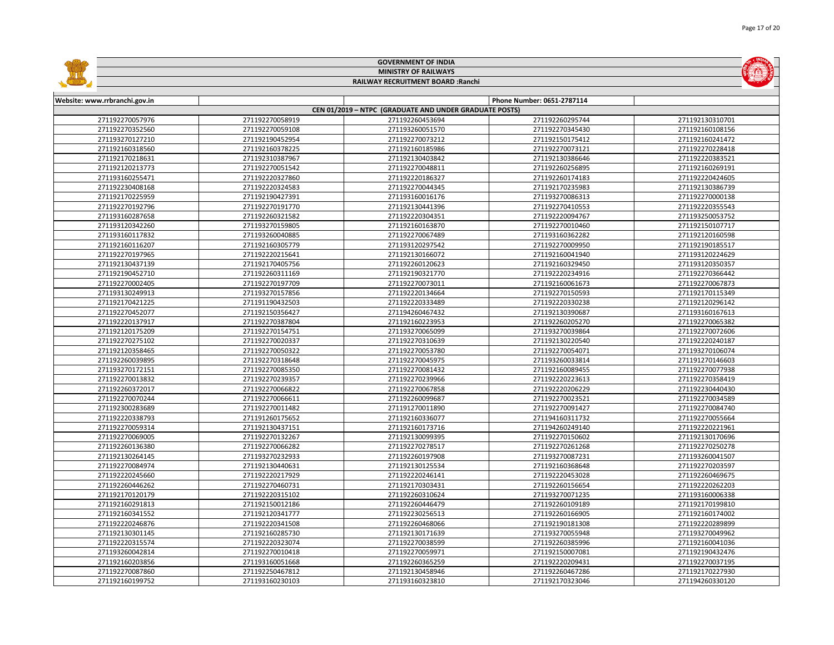|                               |                 | <b>GOVERNMENT OF INDIA</b>                             |                            |                 |
|-------------------------------|-----------------|--------------------------------------------------------|----------------------------|-----------------|
| <b>MINISTRY OF RAILWAYS</b>   |                 |                                                        |                            |                 |
|                               |                 | RAILWAY RECRUITMENT BOARD : Ranchi                     |                            |                 |
|                               |                 |                                                        |                            |                 |
| Website: www.rrbranchi.gov.in |                 |                                                        | Phone Number: 0651-2787114 |                 |
|                               |                 | CEN 01/2019 - NTPC (GRADUATE AND UNDER GRADUATE POSTS) |                            |                 |
| 271192270057976               | 271192270058919 | 271192260453694                                        | 271192260295744            | 271192130310701 |
| 271192270352560               | 271192270059108 | 271193260051570                                        | 271192270345430            | 271192160108156 |
| 271193270127210               | 271192190452954 | 271192270073212                                        | 271192150175412            | 271192160241472 |
| 271192160318560               | 271192160378225 | 271192160185986                                        | 271192270073121            | 271192270228418 |
| 271192170218631               | 271192310387967 | 271192130403842                                        | 271192130386646            | 271192220383521 |
| 271192120213773               | 271192270051542 | 271192270048811                                        | 271192260256895            | 271192160269191 |
| 271193160255471               | 271192220327860 | 271192220186327                                        | 271192260174183            | 271192220424605 |
| 271192230408168               | 271192220324583 | 271192270044345                                        | 271192170235983            | 271192130386739 |
| 271192170225959               | 271192190427391 | 271193160016176                                        | 271193270086313            | 271192270000138 |
| 271192270192796               | 271192270191770 | 271192130441396                                        | 271192270410553            | 271192220355543 |
| 271193160287658               | 271192260321582 | 271192220304351                                        | 271192220094767            | 271193250053752 |
| 271193120342260               | 271193270159805 | 271192160163870                                        | 271192270010460            | 271192150107717 |
| 271193160117832               | 271193260040885 | 271192270067489                                        | 271193160362282            | 271192120160598 |
| 271192160116207               | 271192160305779 | 271193120297542                                        | 271192270009950            | 271192190185517 |
| 271192270197965               | 271192220215641 | 271192130166072                                        | 271192160041940            | 271193120224629 |
| 271192130437139               | 271192170405756 | 271192260120623                                        | 271192160329450            | 271193120350357 |
| 271192190452710               | 271192260311169 | 271192190321770                                        | 271192220234916            | 271192270366442 |
| 271192270002405               | 271192270197709 | 271192270073011                                        | 271192160061673            | 271192270067873 |
| 271193130249913               | 271193270157856 | 271192220134664                                        | 271192270150593            | 271192170115349 |
| 271192170421225               | 271191190432503 | 271192220333489                                        | 271192220330238            | 271192120296142 |
| 271192270452077               | 271192150356427 | 271194260467432                                        | 271192130390687            | 271193160167613 |
| 271192220137917               | 271192270387804 | 271192160223953                                        | 271192260205270            | 271192270065382 |
| 271192120175209               | 271192270154751 | 271193270065099                                        | 271193270039864            | 271192270072606 |
| 271192270275102               | 271192270020337 | 271192270310639                                        | 271192130220540            | 271192220240187 |
| 271192120358465               | 271192270050322 | 271192270053780                                        | 271192270054071            | 271193270106074 |
| 271192260039895               | 271192270318648 | 271192270045975                                        | 271193260033814            | 271191270146603 |
| 271193270172151               | 271192270085350 | 271192270081432                                        | 271192160089455            | 271192270077938 |
| 271192270013832               | 271192270239357 | 271192270239966                                        | 271192220223613            | 271192270358419 |
| 271192260372017               | 271192270066822 | 271192270067858                                        | 271192220206229            | 271192230440430 |
| 271192270070244               | 271192270066611 | 271192260099687                                        | 271192270023521            | 271192270034589 |
| 271192300283689               | 271192270011482 | 271191270011890                                        | 271192270091427            | 271192270084740 |
| 271192220338793               | 271191260175652 | 271192160336077                                        | 271194160311732            | 271192270055664 |
| 271192270059314               | 271192130437151 | 271192160173716                                        | 271194260249140            | 271192220221961 |
| 271192270069005               | 271192270132267 | 271192130099395                                        | 271192270150602            | 271192130170696 |
| 271192260136380               | 271192270066282 | 271192270278517                                        | 271192270261268            | 271192270250278 |
| 271192130264145               | 271193270232933 | 271192260197908                                        | 271193270087231            | 271193260041507 |
| 271192270084974               | 271192130440631 | 271192130125534                                        | 271192160368648            | 271192270203597 |
| 271192220245660               | 271192220217929 | 271192220246141                                        | 271192220453028            | 271192260469675 |
| 271192260446262               | 271192270460731 | 271192170303431                                        | 271192260156654            | 271192220262203 |
| 271192170120179               | 271192220315102 | 271192260310624                                        | 271193270071235            | 271193160006338 |
| 271192160291813               | 271192150012186 | 271192260446479                                        | 271192260109189            | 271192170199810 |
| 271192160341552               | 271192120341777 | 271192230256513                                        | 271192260166905            | 271192160174002 |
| 271192220246876               | 271192220341508 | 271192260468066                                        | 271192190181308            | 271192220289899 |
| 271192130301145               | 271192160285730 | 271192130171639                                        | 271193270055948            | 271193270049962 |
| 271192220315574               | 271192220323074 | 271192270038599                                        | 271192260385996            | 271192160041036 |
| 271193260042814               | 271192270010418 | 271192270059971                                        | 271192150007081            | 271192190432476 |
| 271192160203856               | 271193160051668 | 271192260365259                                        | 271192220209431            | 271192270037195 |
| 271192270087860               | 271192250467812 | 271192130458946                                        | 271192260467286            | 271192170227930 |
| 271192160199752               | 271193160230103 | 271193160323810                                        | 271192170323046            | 271194260330120 |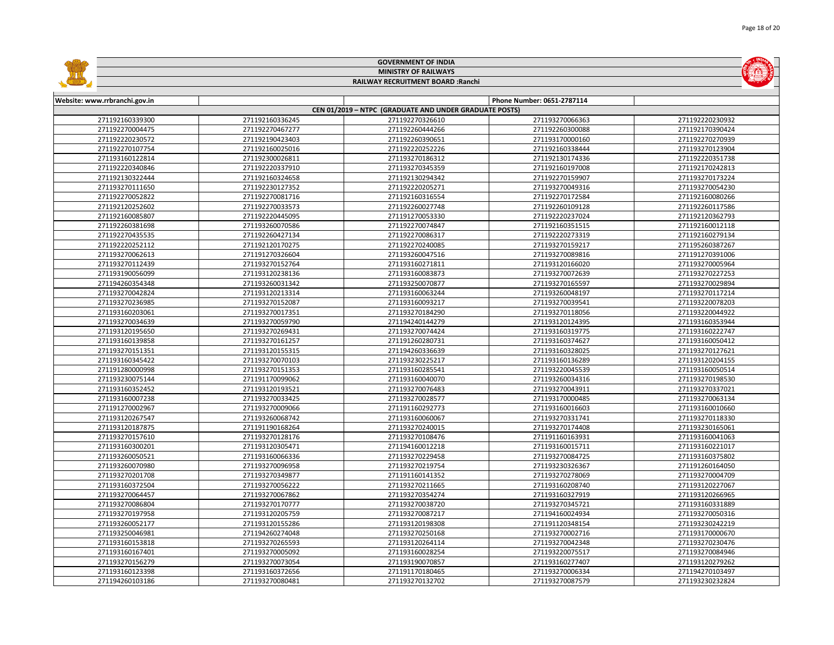|                                                        |                 | <b>GOVERNMENT OF INDIA</b>         |                            |                 |  |  |  |
|--------------------------------------------------------|-----------------|------------------------------------|----------------------------|-----------------|--|--|--|
| <b>MINISTRY OF RAILWAYS</b>                            |                 |                                    |                            |                 |  |  |  |
|                                                        |                 | RAILWAY RECRUITMENT BOARD : Ranchi |                            |                 |  |  |  |
|                                                        |                 |                                    |                            |                 |  |  |  |
| Website: www.rrbranchi.gov.in                          |                 |                                    | Phone Number: 0651-2787114 |                 |  |  |  |
| CEN 01/2019 - NTPC (GRADUATE AND UNDER GRADUATE POSTS) |                 |                                    |                            |                 |  |  |  |
| 271192160339300                                        | 271192160336245 | 271192270326610                    | 271193270066363            | 271192220230932 |  |  |  |
| 271192270004475                                        | 271192270467277 | 271192260444266                    | 271192260300088            | 271192170390424 |  |  |  |
| 271192220230572                                        | 271192190423403 | 271192260390651                    | 271193170000160            | 271192270270939 |  |  |  |
| 271192270107754                                        | 271192160025016 | 271192220252226                    | 271192160338444            | 271193270123904 |  |  |  |
| 271193160122814                                        | 271192300026811 | 271193270186312                    | 271192130174336            | 271192220351738 |  |  |  |
| 271192220340846                                        | 271192220337910 | 271193270345359                    | 271192160197008            | 271192170242813 |  |  |  |
| 271192130322444                                        | 271192160324658 | 271192130294342                    | 271192270159907            | 271193270173224 |  |  |  |
| 271193270111650                                        | 271192230127352 | 271192220205271                    | 271193270049316            | 271193270054230 |  |  |  |
| 271192270052822                                        | 271192270081716 | 271192160316554                    | 271192270172584            | 271192160080266 |  |  |  |
| 271192120252602                                        | 271192270033573 | 271192260027748                    | 271192260109128            | 271192260117586 |  |  |  |
| 271192160085807                                        | 271192220445095 | 271191270053330                    | 271192220237024            | 271192120362793 |  |  |  |
| 271192260381698                                        | 271193260070586 | 271192270074847                    | 271192160351515            | 271192160012118 |  |  |  |
| 271192270435535                                        | 271192260427134 | 271192270086317                    | 271192220273319            | 271192160279134 |  |  |  |
| 271192220252112                                        | 271192120170275 | 271192270240085                    | 271193270159217            | 271195260387267 |  |  |  |
| 271193270062613                                        | 271191270326604 | 271193260047516                    | 271193270089816            | 271191270391006 |  |  |  |
| 271193270112439                                        | 271193270152764 | 271193160271811                    | 271193120166020            | 271193270005964 |  |  |  |
| 271193190056099                                        | 271193120238136 | 271193160083873                    | 271193270072639            | 271193270227253 |  |  |  |
| 271194260354348                                        | 271193260031342 | 271193250070877                    | 271193270165597            | 271193270029894 |  |  |  |
| 271193270042824                                        | 271193120213314 | 271193160063244                    | 271193260048197            | 271193270117214 |  |  |  |
| 271193270236985                                        | 271193270152087 | 271193160093217                    | 271193270039541            | 271193220078203 |  |  |  |
| 271193160203061                                        | 271193270017351 | 271193270184290                    | 271193270118056            | 271193220044922 |  |  |  |
| 271193270034639                                        | 271193270059790 | 271194240144279                    | 271193120124395            | 271193160353944 |  |  |  |
| 271193120195650                                        | 271193270269431 | 271193270074424                    | 271193160319775            | 271193160222747 |  |  |  |
| 271193160139858                                        | 271193270161257 | 271191260280731                    | 271193160374627            | 271193160050412 |  |  |  |
| 271193270151351                                        | 271193120155315 | 271194260336639                    | 271193160328025            | 271193270127621 |  |  |  |
| 271193160345422                                        | 271193270070103 | 271193230225217                    | 271193160136289            | 271193120204155 |  |  |  |
| 271191280000998                                        | 271193270151353 | 271193160285541                    | 271193220045539            | 271193160050514 |  |  |  |
| 271193230075144                                        | 271191170099062 | 271193160040070                    | 271193260034316            | 271193270198530 |  |  |  |
| 271193160352452                                        | 271193120193521 | 271193270076483                    | 271193270043911            | 271193270337021 |  |  |  |
| 271193160007238                                        | 271193270033425 | 271193270028577                    | 271193170000485            | 271193270063134 |  |  |  |
| 271191270002967                                        | 271193270009066 | 271191160292773                    | 271193160016603            | 271193160010660 |  |  |  |
| 271193120267547                                        | 271193260068742 | 271193160060067                    | 271193270331741            | 271193270118330 |  |  |  |
| 271193120187875                                        | 271191190168264 | 271193270240015                    | 271193270174408            | 271193230165061 |  |  |  |
| 271193270157610                                        | 271193270128176 | 271193270108476                    | 271191160163931            | 271193160041063 |  |  |  |
| 271193160300201                                        | 271193120305471 | 271194160012218                    | 271193160015711            | 271193160221017 |  |  |  |
| 271193260050521                                        | 271193160066336 | 271193270229458                    | 271193270084725            | 271193160375802 |  |  |  |
| 271193260070980                                        | 271193270096958 | 271193270219754                    | 271193230326367            | 271191260164050 |  |  |  |
| 271193270201708                                        | 271193270349877 | 271191160141352                    | 271193270278069            | 271193270004709 |  |  |  |
| 271193160372504                                        | 271193270056222 | 271193270211665                    | 271193160208740            | 271193120227067 |  |  |  |
| 271193270064457                                        | 271193270067862 | 271193270354274                    | 271193160327919            | 271193120266965 |  |  |  |
| 271193270086804                                        | 271193270170777 | 271193270038720                    | 271193270345721            | 271193160331889 |  |  |  |
| 271193270197958                                        | 271193120205759 | 271193270087217                    | 271194160024934            | 271193270050316 |  |  |  |
| 271193260052177                                        | 271193120155286 | 271193120198308                    | 271191120348154            | 271193230242219 |  |  |  |
| 271193250046981                                        | 271194260274048 | 271193270250168                    | 271193270002716            | 271193170000670 |  |  |  |
| 271193160153818                                        | 271193270265593 | 271193120264114                    | 271193270042348            | 271193270230476 |  |  |  |
| 271193160167401                                        | 271193270005092 | 271193160028254                    | 271193220075517            | 271193270084946 |  |  |  |
| 271193270156279                                        | 271193270073054 | 271193190070857                    | 271193160277407            | 271193120279262 |  |  |  |
| 271193160123398                                        | 271193160372656 | 271191170180465                    | 271193270006334            | 271194270103497 |  |  |  |
| 271194260103186                                        | 271193270080481 | 271193270132702                    | 271193270087579            | 271193230232824 |  |  |  |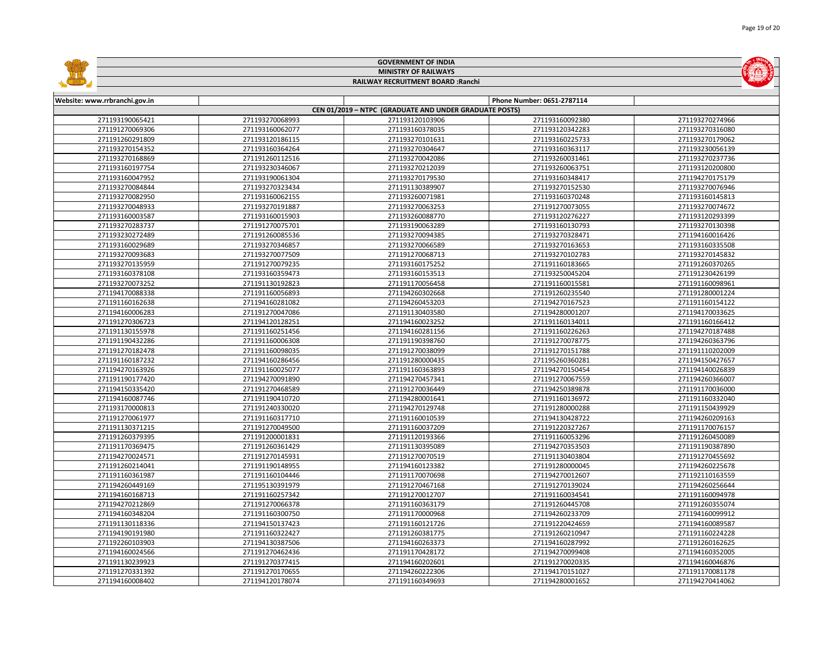|                                                        |                 | <b>GOVERNMENT OF INDIA</b>         |                            |                 |  |  |  |  |
|--------------------------------------------------------|-----------------|------------------------------------|----------------------------|-----------------|--|--|--|--|
| <b>MINISTRY OF RAILWAYS</b>                            |                 |                                    |                            |                 |  |  |  |  |
|                                                        |                 | RAILWAY RECRUITMENT BOARD : Ranchi |                            |                 |  |  |  |  |
|                                                        |                 |                                    |                            |                 |  |  |  |  |
| Website: www.rrbranchi.gov.in                          |                 |                                    | Phone Number: 0651-2787114 |                 |  |  |  |  |
| CEN 01/2019 - NTPC (GRADUATE AND UNDER GRADUATE POSTS) |                 |                                    |                            |                 |  |  |  |  |
| 271193190065421                                        | 271193270068993 | 271193120103906                    | 271193160092380            | 271193270274966 |  |  |  |  |
| 271191270069306                                        | 271193160062077 | 271193160378035                    | 271193120342283            | 271193270316080 |  |  |  |  |
| 271191260291809                                        | 271193120186115 | 271193270101631                    | 271193160225733            | 271193270179062 |  |  |  |  |
| 271193270154352                                        | 271193160364264 | 271193270304647                    | 271193160363117            | 271193230056139 |  |  |  |  |
| 271193270168869                                        | 271191260112516 | 271193270042086                    | 271193260031461            | 271193270237736 |  |  |  |  |
| 271193160197754                                        | 271193230346067 | 271193270212039                    | 271193260063751            | 271193120200800 |  |  |  |  |
| 271193160047952                                        | 271193190061304 | 271193270179530                    | 271193160348417            | 271194270175179 |  |  |  |  |
| 271193270084844                                        | 271193270323434 | 271191130389907                    | 271193270152530            | 271193270076946 |  |  |  |  |
| 271193270082950                                        | 271193160062155 | 271193260071981                    | 271193160370248            | 271193160145813 |  |  |  |  |
| 271193270048933                                        | 271193270191887 | 271193270063253                    | 271191270073055            | 271193270074672 |  |  |  |  |
| 271193160003587                                        | 271193160015903 | 271193260088770                    | 271193120276227            | 271193120293399 |  |  |  |  |
| 271193270283737                                        | 271191270075701 | 271193190063289                    | 271193160130793            | 271193270130398 |  |  |  |  |
| 271193230272489                                        | 271191260085536 | 271193270094385                    | 271193270328471            | 271194160016426 |  |  |  |  |
| 271193160029689                                        | 271193270346857 | 271193270066589                    | 271193270163653            | 271193160335508 |  |  |  |  |
| 271193270093683                                        | 271193270077509 | 271191270068713                    | 271193270102783            | 271193270145832 |  |  |  |  |
| 271193270135959                                        | 271191270079235 | 271193160175252                    | 271191160183665            | 271191260370265 |  |  |  |  |
| 271193160378108                                        | 271193160359473 | 271193160153513                    | 271193250045204            | 271191230426199 |  |  |  |  |
| 271193270073252                                        | 271191130192823 | 271191170056458                    | 271191160015581            | 271191160098961 |  |  |  |  |
| 271194170088338                                        | 271191160056893 | 271194260302668                    | 271191260235540            | 271191280001224 |  |  |  |  |
| 271191160162638                                        | 271194160281082 | 271194260453203                    | 271194270167523            | 271191160154122 |  |  |  |  |
| 271194160006283                                        | 271191270047086 | 271191130403580                    | 271194280001207            | 271194170033625 |  |  |  |  |
| 271191270306723                                        | 271194120128251 | 271194160023252                    | 271191160134011            | 271191160166412 |  |  |  |  |
| 271191130155978                                        | 271191160251456 | 271194160281156                    | 271191160226263            | 271194270187488 |  |  |  |  |
| 271191190432286                                        | 271191160006308 | 271191190398760                    | 271191270078775            | 271194260363796 |  |  |  |  |
| 271191270182478                                        | 271191160098035 | 271191270038099                    | 271191270151788            | 271191110202009 |  |  |  |  |
| 271191160187232                                        | 271194160286456 | 271191280000435                    | 271195260360281            | 271194150427657 |  |  |  |  |
| 271194270163926                                        | 271191160025077 | 271191160363893                    | 271194270150454            | 271194140026839 |  |  |  |  |
| 271191190177420                                        | 271194270091890 | 271194270457341                    | 271191270067559            | 271194260366007 |  |  |  |  |
| 271194150335420                                        | 271191270468589 | 271191270036449                    | 271194250389878            | 271191170036000 |  |  |  |  |
| 271194160087746                                        | 271191190410720 | 271194280001641                    | 271191160136972            | 271191160332040 |  |  |  |  |
| 271193170000813                                        | 271191240330020 | 271194270129748                    | 271191280000288            | 271191150439929 |  |  |  |  |
| 271191270061977                                        | 271191160317710 | 271191160010539                    | 271194130428722            | 271194260209163 |  |  |  |  |
| 271191130371215                                        | 271191270049500 | 271191160037209                    | 271191220327267            | 271191170076157 |  |  |  |  |
| 271191260379395                                        | 271191200001831 | 271191120193366                    | 271191160053296            | 271191260450089 |  |  |  |  |
| 271191170369475                                        | 271191260361429 | 271191130395089                    | 271194270353503            | 271191190387890 |  |  |  |  |
| 271194270024571                                        | 271191270145931 | 271191270070519                    | 271191130403804            | 271191270455692 |  |  |  |  |
| 271191260214041                                        | 271191190148955 | 271194160123382                    | 271191280000045            | 271194260225678 |  |  |  |  |
| 271191160361987                                        | 271191160104446 | 271191170070698                    | 271194270012607            | 271192110163559 |  |  |  |  |
| 271194260449169                                        | 271195130391979 | 271191270467168                    | 271191270139024            | 271194260256644 |  |  |  |  |
| 271194160168713                                        | 271191160257342 | 271191270012707                    | 271191160034541            | 271191160094978 |  |  |  |  |
| 271194270212869                                        | 271191270066378 | 271191160363179                    | 271191260445708            | 271191260355074 |  |  |  |  |
| 271194160348204                                        | 271191160300750 | 271191170000968                    | 271194260233709            | 271194160099912 |  |  |  |  |
| 271191130118336                                        | 271194150137423 | 271191160121726                    | 271191220424659            | 271194160089587 |  |  |  |  |
| 271194190191980                                        | 271191160322427 | 271191260381775                    | 271191260210947            | 271191160224228 |  |  |  |  |
| 271192260103903                                        | 271194130387506 | 271194160263373                    | 271194160287992            | 271191260162625 |  |  |  |  |
| 271194160024566                                        | 271191270462436 | 271191170428172                    | 271194270099408            | 271194160352005 |  |  |  |  |
| 271191130239923                                        | 271191270377415 | 271194160202601                    | 271191270020335            | 271194160046876 |  |  |  |  |
| 271191270331392                                        | 271191270170655 | 271194260222306                    | 271194170151027            | 271191170081178 |  |  |  |  |
| 271194160008402                                        | 271194120178074 | 271191160349693                    | 271194280001652            | 271194270414062 |  |  |  |  |